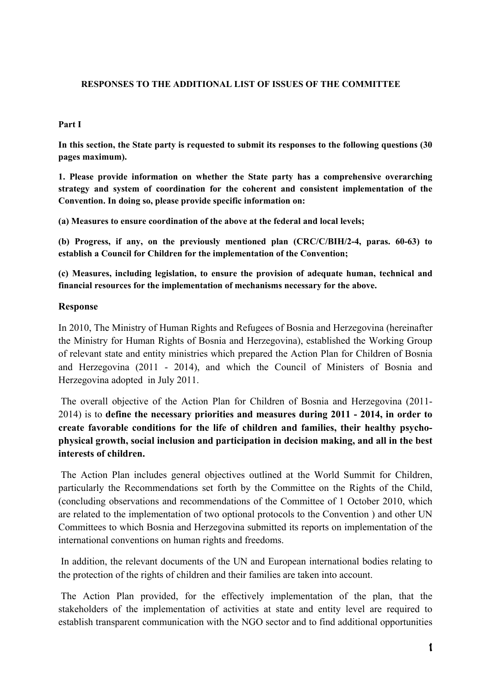## **RESPONSES TO THE ADDITIONAL LIST OF ISSUES OF THE COMMITTEE**

### **Part I**

**In this section, the State party is requested to submit its responses to the following questions (30 pages maximum).** 

**1. Please provide information on whether the State party has a comprehensive overarching strategy and system of coordination for the coherent and consistent implementation of the Convention. In doing so, please provide specific information on:** 

**(a) Measures to ensure coordination of the above at the federal and local levels;** 

**(b) Progress, if any, on the previously mentioned plan (CRC/C/BIH/2-4, paras. 60-63) to establish a Council for Children for the implementation of the Convention;** 

**(c) Measures, including legislation, to ensure the provision of adequate human, technical and financial resources for the implementation of mechanisms necessary for the above.** 

### **Response**

In 2010, The Ministry of Human Rights and Refugees of Bosnia and Herzegovina (hereinafter the Ministry for Human Rights of Bosnia and Herzegovina), established the Working Group of relevant state and entity ministries which prepared the Action Plan for Children of Bosnia and Herzegovina (2011 - 2014), and which the Council of Ministers of Bosnia and Herzegovina adopted in July 2011.

 The overall objective of the Action Plan for Children of Bosnia and Herzegovina (2011- 2014) is to **define the necessary priorities and measures during 2011 - 2014, in order to create favorable conditions for the life of children and families, their healthy psychophysical growth, social inclusion and participation in decision making, and all in the best interests of children.** 

 The Action Plan includes general objectives outlined at the World Summit for Children, particularly the Recommendations set forth by the Committee on the Rights of the Child, (concluding observations and recommendations of the Committee of 1 October 2010, which are related to the implementation of two optional protocols to the Convention ) and other UN Committees to which Bosnia and Herzegovina submitted its reports on implementation of the international conventions on human rights and freedoms.

 In addition, the relevant documents of the UN and European international bodies relating to the protection of the rights of children and their families are taken into account.

 The Action Plan provided, for the effectively implementation of the plan, that the stakeholders of the implementation of activities at state and entity level are required to establish transparent communication with the NGO sector and to find additional opportunities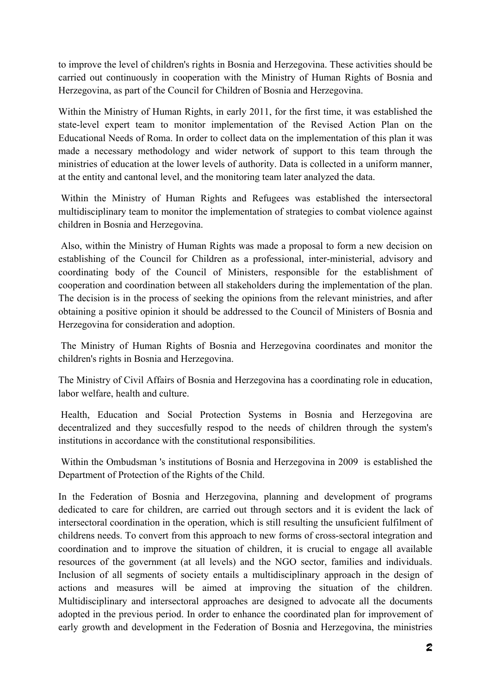to improve the level of children's rights in Bosnia and Herzegovina. These activities should be carried out continuously in cooperation with the Ministry of Human Rights of Bosnia and Herzegovina, as part of the Council for Children of Bosnia and Herzegovina.

Within the Ministry of Human Rights, in early 2011, for the first time, it was established the state-level expert team to monitor implementation of the Revised Action Plan on the Educational Needs of Roma. In order to collect data on the implementation of this plan it was made a necessary methodology and wider network of support to this team through the ministries of education at the lower levels of authority. Data is collected in a uniform manner, at the entity and cantonal level, and the monitoring team later analyzed the data.

 Within the Ministry of Human Rights and Refugees was established the intersectoral multidisciplinary team to monitor the implementation of strategies to combat violence against children in Bosnia and Herzegovina.

 Also, within the Ministry of Human Rights was made a proposal to form a new decision on establishing of the Council for Children as a professional, inter-ministerial, advisory and coordinating body of the Council of Ministers, responsible for the establishment of cooperation and coordination between all stakeholders during the implementation of the plan. The decision is in the process of seeking the opinions from the relevant ministries, and after obtaining a positive opinion it should be addressed to the Council of Ministers of Bosnia and Herzegovina for consideration and adoption.

 The Ministry of Human Rights of Bosnia and Herzegovina coordinates and monitor the children's rights in Bosnia and Herzegovina.

The Ministry of Civil Affairs of Bosnia and Herzegovina has a coordinating role in education, labor welfare, health and culture.

 Health, Education and Social Protection Systems in Bosnia and Herzegovina are decentralized and they succesfully respod to the needs of children through the system's institutions in accordance with the constitutional responsibilities.

 Within the Ombudsman 's institutions of Bosnia and Herzegovina in 2009 is established the Department of Protection of the Rights of the Child.

In the Federation of Bosnia and Herzegovina, planning and development of programs dedicated to care for children, are carried out through sectors and it is evident the lack of intersectoral coordination in the operation, which is still resulting the unsuficient fulfilment of childrens needs. To convert from this approach to new forms of cross-sectoral integration and coordination and to improve the situation of children, it is crucial to engage all available resources of the government (at all levels) and the NGO sector, families and individuals. Inclusion of all segments of society entails a multidisciplinary approach in the design of actions and measures will be aimed at improving the situation of the children. Multidisciplinary and intersectoral approaches are designed to advocate all the documents adopted in the previous period. In order to enhance the coordinated plan for improvement of early growth and development in the Federation of Bosnia and Herzegovina, the ministries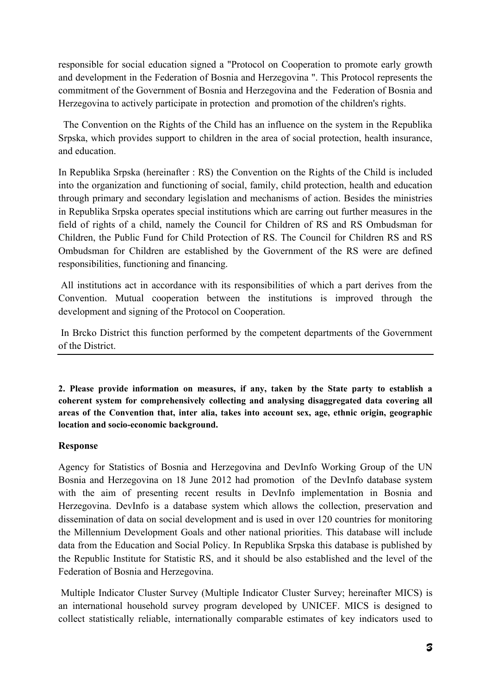responsible for social education signed a "Protocol on Cooperation to promote early growth and development in the Federation of Bosnia and Herzegovina ". This Protocol represents the commitment of the Government of Bosnia and Herzegovina and the Federation of Bosnia and Herzegovina to actively participate in protection and promotion of the children's rights.

 The Convention on the Rights of the Child has an influence on the system in the Republika Srpska, which provides support to children in the area of social protection, health insurance, and education.

In Republika Srpska (hereinafter : RS) the Convention on the Rights of the Child is included into the organization and functioning of social, family, child protection, health and education through primary and secondary legislation and mechanisms of action. Besides the ministries in Republika Srpska operates special institutions which are carring out further measures in the field of rights of a child, namely the Council for Children of RS and RS Ombudsman for Children, the Public Fund for Child Protection of RS. The Council for Children RS and RS Ombudsman for Children are established by the Government of the RS were are defined responsibilities, functioning and financing.

 All institutions act in accordance with its responsibilities of which a part derives from the Convention. Mutual cooperation between the institutions is improved through the development and signing of the Protocol on Cooperation.

 In Brcko District this function performed by the competent departments of the Government of the District.

**2. Please provide information on measures, if any, taken by the State party to establish a coherent system for comprehensively collecting and analysing disaggregated data covering all areas of the Convention that, inter alia, takes into account sex, age, ethnic origin, geographic location and socio-economic background.** 

## **Response**

Agency for Statistics of Bosnia and Herzegovina and DevInfo Working Group of the UN Bosnia and Herzegovina on 18 June 2012 had promotion of the DevInfo database system with the aim of presenting recent results in DevInfo implementation in Bosnia and Herzegovina. DevInfo is a database system which allows the collection, preservation and dissemination of data on social development and is used in over 120 countries for monitoring the Millennium Development Goals and other national priorities. This database will include data from the Education and Social Policy. In Republika Srpska this database is published by the Republic Institute for Statistic RS, and it should be also established and the level of the Federation of Bosnia and Herzegovina.

 Multiple Indicator Cluster Survey (Multiple Indicator Cluster Survey; hereinafter MICS) is an international household survey program developed by UNICEF. MICS is designed to collect statistically reliable, internationally comparable estimates of key indicators used to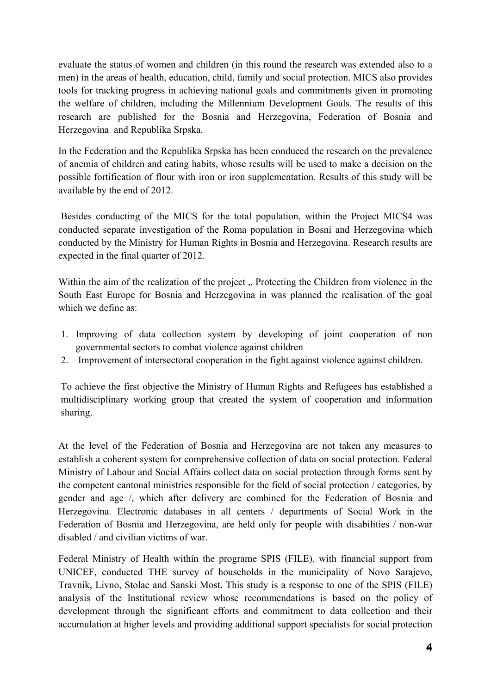evaluate the status of women and children (in this round the research was extended also to a men) in the areas of health, education, child, family and social protection. MICS also provides tools for tracking progress in achieving national goals and commitments given in promoting the welfare of children, including the Millennium Development Goals. The results of this research are published for the Bosnia and Herzegovina, Federation of Bosnia and Herzegovina and Republika Srpska.

In the Federation and the Republika Srpska has been conduced the research on the prevalence of anemia of children and eating habits, whose results will be used to make a decision on the possible fortification of flour with iron or iron supplementation. Results of this study will be available by the end of 2012.

 Besides conducting of the MICS for the total population, within the Project MICS4 was conducted separate investigation of the Roma population in Bosni and Herzegovina which conducted by the Ministry for Human Rights in Bosnia and Herzegovina. Research results are expected in the final quarter of 2012.

Within the aim of the realization of the project, Protecting the Children from violence in the South East Europe for Bosnia and Herzegovina in was planned the realisation of the goal which we define as:

- 1. Improving of data collection system by developing of joint cooperation of non governmental sectors to combat violence against children
- 2. Improvement of intersectoral cooperation in the fight against violence against children.

To achieve the first objective the Ministry of Human Rights and Refugees has established a multidisciplinary working group that created the system of cooperation and information sharing.

At the level of the Federation of Bosnia and Herzegovina are not taken any measures to establish a coherent system for comprehensive collection of data on social protection. Federal Ministry of Labour and Social Affairs collect data on social protection through forms sent by the competent cantonal ministries responsible for the field of social protection / categories, by gender and age /, which after delivery are combined for the Federation of Bosnia and Herzegovina. Electronic databases in all centers / departments of Social Work in the Federation of Bosnia and Herzegovina, are held only for people with disabilities / non-war disabled / and civilian victims of war.

Federal Ministry of Health within the programe SPIS (FILE), with financial support from UNICEF, conducted THE survey of households in the municipality of Novo Sarajevo, Travnik, Livno, Stolac and Sanski Most. This study is a response to one of the SPIS (FILE) analysis of the Institutional review whose recommendations is based on the policy of development through the significant efforts and commitment to data collection and their accumulation at higher levels and providing additional support specialists for social protection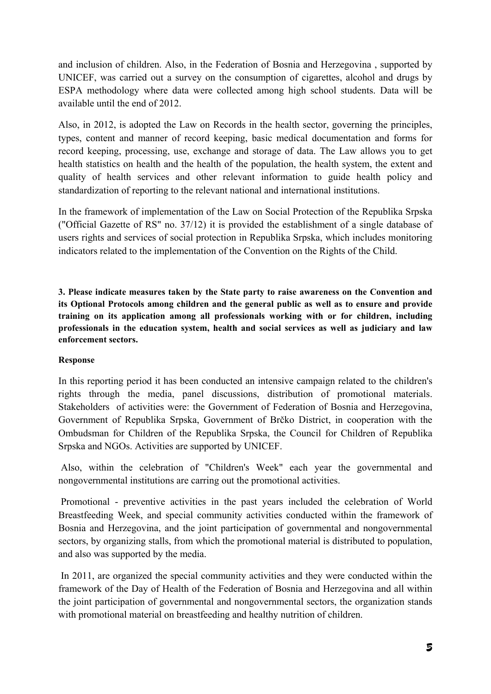and inclusion of children. Also, in the Federation of Bosnia and Herzegovina , supported by UNICEF, was carried out a survey on the consumption of cigarettes, alcohol and drugs by ESPA methodology where data were collected among high school students. Data will be available until the end of 2012.

Also, in 2012, is adopted the Law on Records in the health sector, governing the principles, types, content and manner of record keeping, basic medical documentation and forms for record keeping, processing, use, exchange and storage of data. The Law allows you to get health statistics on health and the health of the population, the health system, the extent and quality of health services and other relevant information to guide health policy and standardization of reporting to the relevant national and international institutions.

In the framework of implementation of the Law on Social Protection of the Republika Srpska ("Official Gazette of RS" no. 37/12) it is provided the establishment of a single database of users rights and services of social protection in Republika Srpska, which includes monitoring indicators related to the implementation of the Convention on the Rights of the Child.

**3. Please indicate measures taken by the State party to raise awareness on the Convention and its Optional Protocols among children and the general public as well as to ensure and provide training on its application among all professionals working with or for children, including professionals in the education system, health and social services as well as judiciary and law enforcement sectors.** 

## **Response**

In this reporting period it has been conducted an intensive campaign related to the children's rights through the media, panel discussions, distribution of promotional materials. Stakeholders of activities were: the Government of Federation of Bosnia and Herzegovina, Government of Republika Srpska, Government of Brčko District, in cooperation with the Ombudsman for Children of the Republika Srpska, the Council for Children of Republika Srpska and NGOs. Activities are supported by UNICEF.

 Also, within the celebration of "Children's Week" each year the governmental and nongovernmental institutions are carring out the promotional activities.

 Promotional - preventive activities in the past years included the celebration of World Breastfeeding Week, and special community activities conducted within the framework of Bosnia and Herzegovina, and the joint participation of governmental and nongovernmental sectors, by organizing stalls, from which the promotional material is distributed to population, and also was supported by the media.

 In 2011, are organized the special community activities and they were conducted within the framework of the Day of Health of the Federation of Bosnia and Herzegovina and all within the joint participation of governmental and nongovernmental sectors, the organization stands with promotional material on breastfeeding and healthy nutrition of children.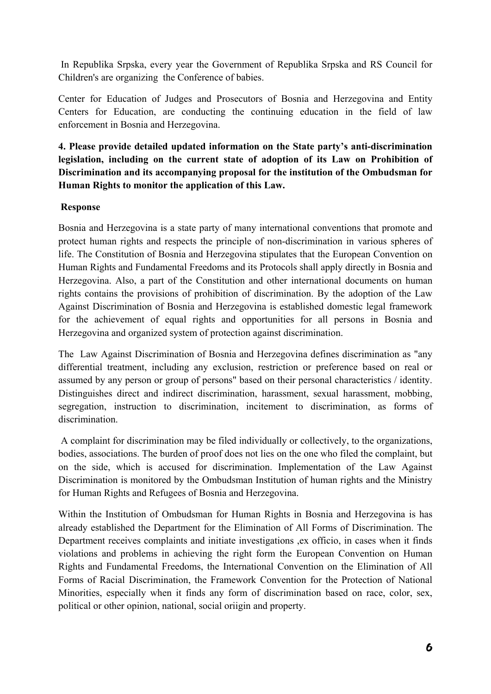In Republika Srpska, every year the Government of Republika Srpska and RS Council for Children's are organizing the Conference of babies.

Center for Education of Judges and Prosecutors of Bosnia and Herzegovina and Entity Centers for Education, are conducting the continuing education in the field of law enforcement in Bosnia and Herzegovina.

**4. Please provide detailed updated information on the State party's anti-discrimination legislation, including on the current state of adoption of its Law on Prohibition of Discrimination and its accompanying proposal for the institution of the Ombudsman for Human Rights to monitor the application of this Law.** 

## **Response**

Bosnia and Herzegovina is a state party of many international conventions that promote and protect human rights and respects the principle of non-discrimination in various spheres of life. The Constitution of Bosnia and Herzegovina stipulates that the European Convention on Human Rights and Fundamental Freedoms and its Protocols shall apply directly in Bosnia and Herzegovina. Also, a part of the Constitution and other international documents on human rights contains the provisions of prohibition of discrimination. By the adoption of the Law Against Discrimination of Bosnia and Herzegovina is established domestic legal framework for the achievement of equal rights and opportunities for all persons in Bosnia and Herzegovina and organized system of protection against discrimination.

The Law Against Discrimination of Bosnia and Herzegovina defines discrimination as "any differential treatment, including any exclusion, restriction or preference based on real or assumed by any person or group of persons" based on their personal characteristics / identity. Distinguishes direct and indirect discrimination, harassment, sexual harassment, mobbing, segregation, instruction to discrimination, incitement to discrimination, as forms of discrimination.

 A complaint for discrimination may be filed individually or collectively, to the organizations, bodies, associations. The burden of proof does not lies on the one who filed the complaint, but on the side, which is accused for discrimination. Implementation of the Law Against Discrimination is monitored by the Ombudsman Institution of human rights and the Ministry for Human Rights and Refugees of Bosnia and Herzegovina.

Within the Institution of Ombudsman for Human Rights in Bosnia and Herzegovina is has already established the Department for the Elimination of All Forms of Discrimination. The Department receives complaints and initiate investigations ,ex officio, in cases when it finds violations and problems in achieving the right form the European Convention on Human Rights and Fundamental Freedoms, the International Convention on the Elimination of All Forms of Racial Discrimination, the Framework Convention for the Protection of National Minorities, especially when it finds any form of discrimination based on race, color, sex, political or other opinion, national, social oriigin and property.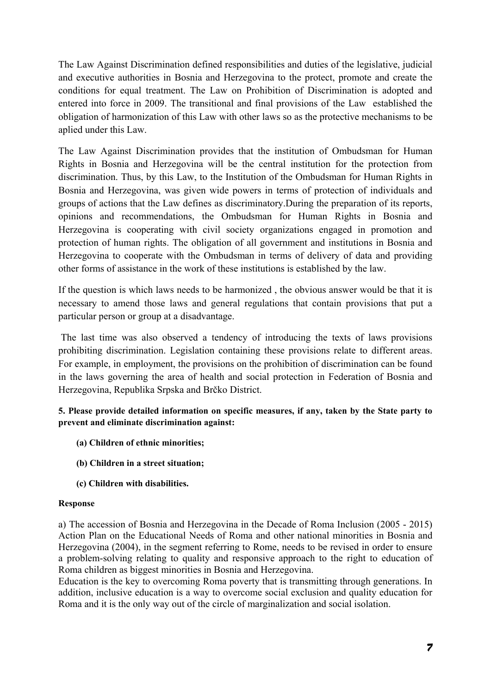The Law Against Discrimination defined responsibilities and duties of the legislative, judicial and executive authorities in Bosnia and Herzegovina to the protect, promote and create the conditions for equal treatment. The Law on Prohibition of Discrimination is adopted and entered into force in 2009. The transitional and final provisions of the Law established the obligation of harmonization of this Law with other laws so as the protective mechanisms to be aplied under this Law.

The Law Against Discrimination provides that the institution of Ombudsman for Human Rights in Bosnia and Herzegovina will be the central institution for the protection from discrimination. Thus, by this Law, to the Institution of the Ombudsman for Human Rights in Bosnia and Herzegovina, was given wide powers in terms of protection of individuals and groups of actions that the Law defines as discriminatory.During the preparation of its reports, opinions and recommendations, the Ombudsman for Human Rights in Bosnia and Herzegovina is cooperating with civil society organizations engaged in promotion and protection of human rights. The obligation of all government and institutions in Bosnia and Herzegovina to cooperate with the Ombudsman in terms of delivery of data and providing other forms of assistance in the work of these institutions is established by the law.

If the question is which laws needs to be harmonized , the obvious answer would be that it is necessary to amend those laws and general regulations that contain provisions that put a particular person or group at a disadvantage.

 The last time was also observed a tendency of introducing the texts of laws provisions prohibiting discrimination. Legislation containing these provisions relate to different areas. For example, in employment, the provisions on the prohibition of discrimination can be found in the laws governing the area of health and social protection in Federation of Bosnia and Herzegovina, Republika Srpska and Brčko District.

**5. Please provide detailed information on specific measures, if any, taken by the State party to prevent and eliminate discrimination against:** 

- **(a) Children of ethnic minorities;**
- **(b) Children in a street situation;**
- **(c) Children with disabilities.**

### **Response**

a) The accession of Bosnia and Herzegovina in the Decade of Roma Inclusion (2005 - 2015) Action Plan on the Educational Needs of Roma and other national minorities in Bosnia and Herzegovina (2004), in the segment referring to Rome, needs to be revised in order to ensure a problem-solving relating to quality and responsive approach to the right to education of Roma children as biggest minorities in Bosnia and Herzegovina.

Education is the key to overcoming Roma poverty that is transmitting through generations. In addition, inclusive education is a way to overcome social exclusion and quality education for Roma and it is the only way out of the circle of marginalization and social isolation.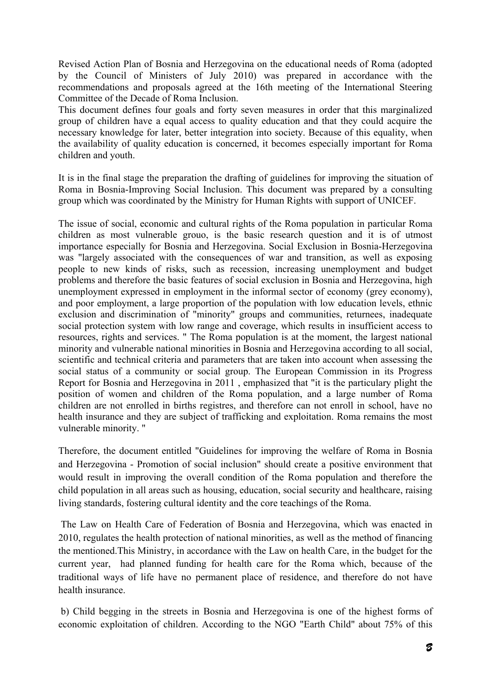Revised Action Plan of Bosnia and Herzegovina on the educational needs of Roma (adopted by the Council of Ministers of July 2010) was prepared in accordance with the recommendations and proposals agreed at the 16th meeting of the International Steering Committee of the Decade of Roma Inclusion.

This document defines four goals and forty seven measures in order that this marginalized group of children have a equal access to quality education and that they could acquire the necessary knowledge for later, better integration into society. Because of this equality, when the availability of quality education is concerned, it becomes especially important for Roma children and youth.

It is in the final stage the preparation the drafting of guidelines for improving the situation of Roma in Bosnia-Improving Social Inclusion. This document was prepared by a consulting group which was coordinated by the Ministry for Human Rights with support of UNICEF.

The issue of social, economic and cultural rights of the Roma population in particular Roma children as most vulnerable grouo, is the basic research question and it is of utmost importance especially for Bosnia and Herzegovina. Social Exclusion in Bosnia-Herzegovina was "largely associated with the consequences of war and transition, as well as exposing people to new kinds of risks, such as recession, increasing unemployment and budget problems and therefore the basic features of social exclusion in Bosnia and Herzegovina, high unemployment expressed in employment in the informal sector of economy (grey economy), and poor employment, a large proportion of the population with low education levels, ethnic exclusion and discrimination of "minority" groups and communities, returnees, inadequate social protection system with low range and coverage, which results in insufficient access to resources, rights and services. " The Roma population is at the moment, the largest national minority and vulnerable national minorities in Bosnia and Herzegovina according to all social, scientific and technical criteria and parameters that are taken into account when assessing the social status of a community or social group. The European Commission in its Progress Report for Bosnia and Herzegovina in 2011 , emphasized that "it is the particulary plight the position of women and children of the Roma population, and a large number of Roma children are not enrolled in births registres, and therefore can not enroll in school, have no health insurance and they are subject of trafficking and exploitation. Roma remains the most vulnerable minority. "

Therefore, the document entitled "Guidelines for improving the welfare of Roma in Bosnia and Herzegovina - Promotion of social inclusion" should create a positive environment that would result in improving the overall condition of the Roma population and therefore the child population in all areas such as housing, education, social security and healthcare, raising living standards, fostering cultural identity and the core teachings of the Roma.

 The Law on Health Care of Federation of Bosnia and Herzegovina, which was enacted in 2010, regulates the health protection of national minorities, as well as the method of financing the mentioned.This Ministry, in accordance with the Law on health Care, in the budget for the current year, had planned funding for health care for the Roma which, because of the traditional ways of life have no permanent place of residence, and therefore do not have health insurance.

 b) Child begging in the streets in Bosnia and Herzegovina is one of the highest forms of economic exploitation of children. According to the NGO "Earth Child" about 75% of this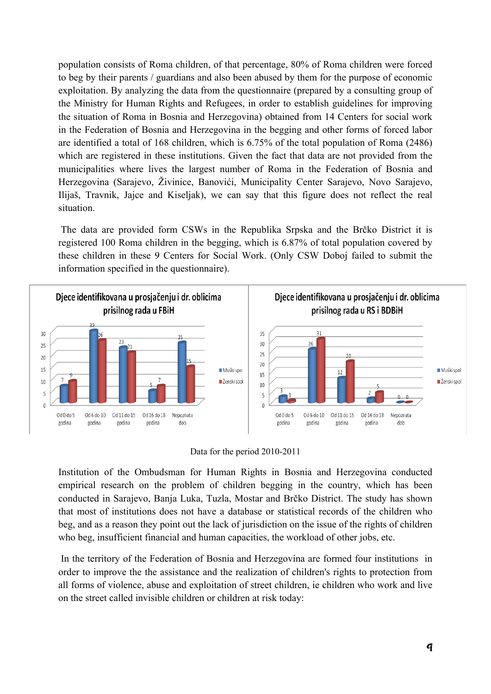population consists of Roma children, of that percentage, 80% of Roma children were forced to beg by their parents / guardians and also been abused by them for the purpose of economic exploitation. By analyzing the data from the questionnaire (prepared by a consulting group of the Ministry for Human Rights and Refugees, in order to establish guidelines for improving the situation of Roma in Bosnia and Herzegovina) obtained from 14 Centers for social work in the Federation of Bosnia and Herzegovina in the begging and other forms of forced labor are identified a total of 168 children, which is 6.75% of the total population of Roma (2486) which are registered in these institutions. Given the fact that data are not provided from the municipalities where lives the largest number of Roma in the Federation of Bosnia and Herzegovina (Sarajevo, Živinice, Banovići, Municipality Center Sarajevo, Novo Sarajevo, Ilijaš, Travnik, Jajce and Kiseljak), we can say that this figure does not reflect the real situation.

 The data are provided form CSWs in the Republika Srpska and the Brčko District it is registered 100 Roma children in the begging, which is 6.87% of total population covered by these children in these 9 Centers for Social Work. (Only CSW Doboj failed to submit the information specified in the questionnaire).



Data for the period 2010-2011

Institution of the Ombudsman for Human Rights in Bosnia and Herzegovina conducted empirical research on the problem of children begging in the country, which has been conducted in Sarajevo, Banja Luka, Tuzla, Mostar and Brčko District. The study has shown that most of institutions does not have a database or statistical records of the children who beg, and as a reason they point out the lack of jurisdiction on the issue of the rights of children who beg, insufficient financial and human capacities, the workload of other jobs, etc.

 In the territory of the Federation of Bosnia and Herzegovina are formed four institutions in order to improve the the assistance and the realization of children's rights to protection from all forms of violence, abuse and exploitation of street children, ie children who work and live on the street called invisible children or children at risk today: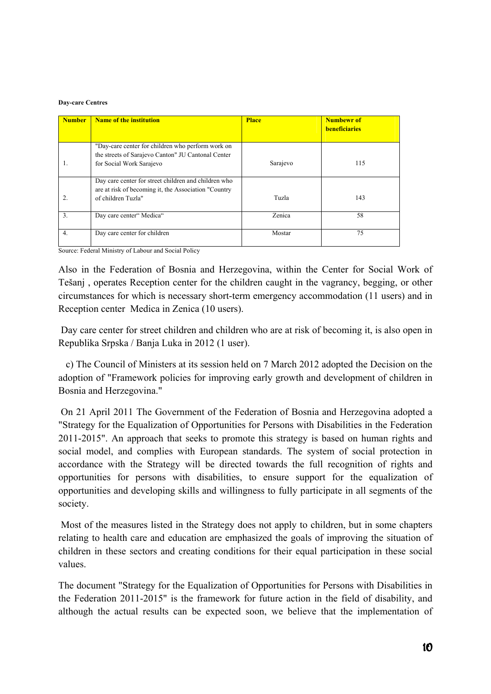#### **Day-care Centres**

| <b>Number</b>    | Name of the institution                                                                                                             | <b>Place</b> | <b>Numbewr</b> of<br><b>beneficiaries</b> |
|------------------|-------------------------------------------------------------------------------------------------------------------------------------|--------------|-------------------------------------------|
|                  | "Day-care center for children who perform work on<br>the streets of Sarajevo Canton" JU Cantonal Center<br>for Social Work Sarajevo | Sarajevo     | 115                                       |
|                  | Day care center for street children and children who<br>are at risk of becoming it, the Association "Country"<br>of children Tuzla" | Tuzla        | 143                                       |
| $\overline{3}$ . | Day care center" Medica"                                                                                                            | Zenica       | 58                                        |
| 4.               | Day care center for children                                                                                                        | Mostar       | 75                                        |

Source: Federal Ministry of Labour and Social Policy

Also in the Federation of Bosnia and Herzegovina, within the Center for Social Work of Tešanj , operates Reception center for the children caught in the vagrancy, begging, or other circumstances for which is necessary short-term emergency accommodation (11 users) and in Reception center Medica in Zenica (10 users).

 Day care center for street children and children who are at risk of becoming it, is also open in Republika Srpska / Banja Luka in 2012 (1 user).

 c) The Council of Ministers at its session held on 7 March 2012 adopted the Decision on the adoption of "Framework policies for improving early growth and development of children in Bosnia and Herzegovina."

 On 21 April 2011 The Government of the Federation of Bosnia and Herzegovina adopted a "Strategy for the Equalization of Opportunities for Persons with Disabilities in the Federation 2011-2015". An approach that seeks to promote this strategy is based on human rights and social model, and complies with European standards. The system of social protection in accordance with the Strategy will be directed towards the full recognition of rights and opportunities for persons with disabilities, to ensure support for the equalization of opportunities and developing skills and willingness to fully participate in all segments of the society.

 Most of the measures listed in the Strategy does not apply to children, but in some chapters relating to health care and education are emphasized the goals of improving the situation of children in these sectors and creating conditions for their equal participation in these social values.

The document "Strategy for the Equalization of Opportunities for Persons with Disabilities in the Federation 2011-2015" is the framework for future action in the field of disability, and although the actual results can be expected soon, we believe that the implementation of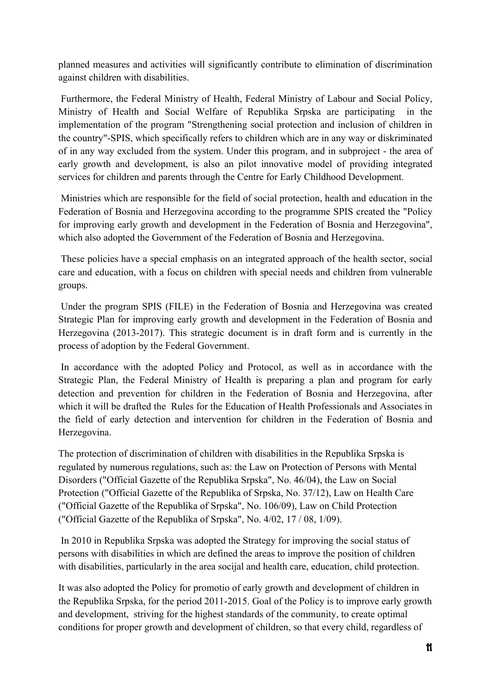planned measures and activities will significantly contribute to elimination of discrimination against children with disabilities.

 Furthermore, the Federal Ministry of Health, Federal Ministry of Labour and Social Policy, Ministry of Health and Social Welfare of Republika Srpska are participating in the implementation of the program "Strengthening social protection and inclusion of children in the country"-SPIS, which specifically refers to children which are in any way or diskriminated of in any way excluded from the system. Under this program, and in subproject - the area of early growth and development, is also an pilot innovative model of providing integrated services for children and parents through the Centre for Early Childhood Development.

 Ministries which are responsible for the field of social protection, health and education in the Federation of Bosnia and Herzegovina according to the programme SPIS created the "Policy for improving early growth and development in the Federation of Bosnia and Herzegovina", which also adopted the Government of the Federation of Bosnia and Herzegovina.

 These policies have a special emphasis on an integrated approach of the health sector, social care and education, with a focus on children with special needs and children from vulnerable groups.

 Under the program SPIS (FILE) in the Federation of Bosnia and Herzegovina was created Strategic Plan for improving early growth and development in the Federation of Bosnia and Herzegovina (2013-2017). This strategic document is in draft form and is currently in the process of adoption by the Federal Government.

 In accordance with the adopted Policy and Protocol, as well as in accordance with the Strategic Plan, the Federal Ministry of Health is preparing a plan and program for early detection and prevention for children in the Federation of Bosnia and Herzegovina, after which it will be drafted the Rules for the Education of Health Professionals and Associates in the field of early detection and intervention for children in the Federation of Bosnia and Herzegovina.

The protection of discrimination of children with disabilities in the Republika Srpska is regulated by numerous regulations, such as: the Law on Protection of Persons with Mental Disorders ("Official Gazette of the Republika Srpska", No. 46/04), the Law on Social Protection ("Official Gazette of the Republika of Srpska, No. 37/12), Law on Health Care ("Official Gazette of the Republika of Srpska", No. 106/09), Law on Child Protection ("Official Gazette of the Republika of Srpska", No. 4/02, 17 / 08, 1/09).

 In 2010 in Republika Srpska was adopted the Strategy for improving the social status of persons with disabilities in which are defined the areas to improve the position of children with disabilities, particularly in the area socijal and health care, education, child protection.

It was also adopted the Policy for promotio of early growth and development of children in the Republika Srpska, for the period 2011-2015. Goal of the Policy is to improve early growth and development, striving for the highest standards of the community, to create optimal conditions for proper growth and development of children, so that every child, regardless of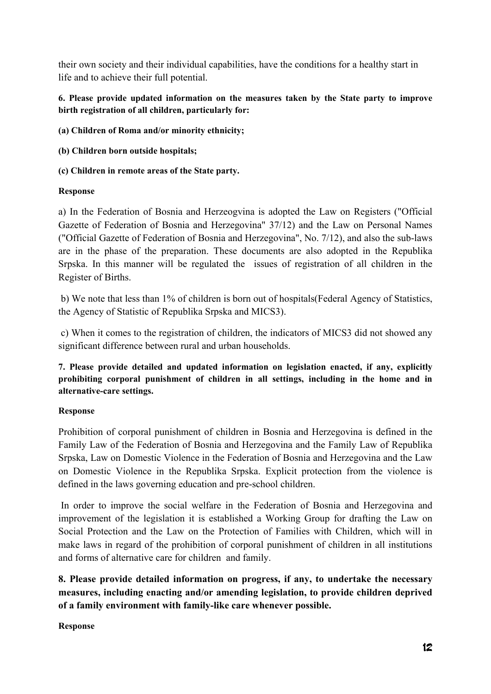their own society and their individual capabilities, have the conditions for a healthy start in life and to achieve their full potential.

## **6. Please provide updated information on the measures taken by the State party to improve birth registration of all children, particularly for:**

**(a) Children of Roma and/or minority ethnicity;** 

**(b) Children born outside hospitals;** 

**(c) Children in remote areas of the State party.** 

## **Response**

a) In the Federation of Bosnia and Herzeogvina is adopted the Law on Registers ("Official Gazette of Federation of Bosnia and Herzegovina" 37/12) and the Law on Personal Names ("Official Gazette of Federation of Bosnia and Herzegovina", No. 7/12), and also the sub-laws are in the phase of the preparation. These documents are also adopted in the Republika Srpska. In this manner will be regulated the issues of registration of all children in the Register of Births.

 b) We note that less than 1% of children is born out of hospitals(Federal Agency of Statistics, the Agency of Statistic of Republika Srpska and MICS3).

 c) When it comes to the registration of children, the indicators of MICS3 did not showed any significant difference between rural and urban households.

**7. Please provide detailed and updated information on legislation enacted, if any, explicitly prohibiting corporal punishment of children in all settings, including in the home and in alternative-care settings.** 

# **Response**

Prohibition of corporal punishment of children in Bosnia and Herzegovina is defined in the Family Law of the Federation of Bosnia and Herzegovina and the Family Law of Republika Srpska, Law on Domestic Violence in the Federation of Bosnia and Herzegovina and the Law on Domestic Violence in the Republika Srpska. Explicit protection from the violence is defined in the laws governing education and pre-school children.

 In order to improve the social welfare in the Federation of Bosnia and Herzegovina and improvement of the legislation it is established a Working Group for drafting the Law on Social Protection and the Law on the Protection of Families with Children, which will in make laws in regard of the prohibition of corporal punishment of children in all institutions and forms of alternative care for children and family.

**8. Please provide detailed information on progress, if any, to undertake the necessary measures, including enacting and/or amending legislation, to provide children deprived of a family environment with family-like care whenever possible.** 

**Response**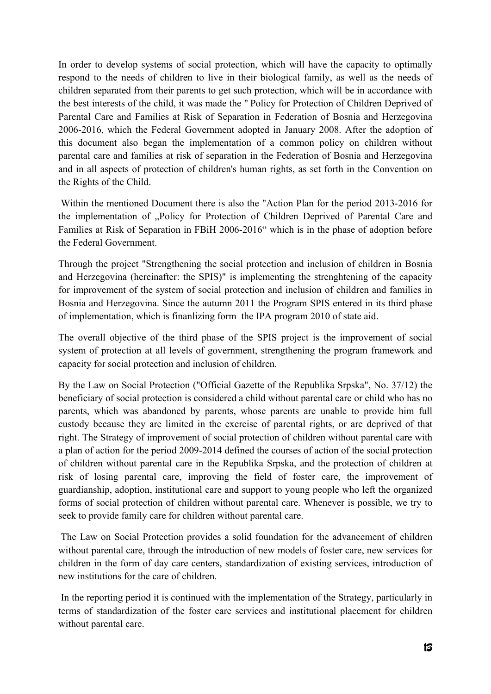In order to develop systems of social protection, which will have the capacity to optimally respond to the needs of children to live in their biological family, as well as the needs of children separated from their parents to get such protection, which will be in accordance with the best interests of the child, it was made the " Policy for Protection of Children Deprived of Parental Care and Families at Risk of Separation in Federation of Bosnia and Herzegovina 2006-2016, which the Federal Government adopted in January 2008. After the adoption of this document also began the implementation of a common policy on children without parental care and families at risk of separation in the Federation of Bosnia and Herzegovina and in all aspects of protection of children's human rights, as set forth in the Convention on the Rights of the Child.

 Within the mentioned Document there is also the "Action Plan for the period 2013-2016 for the implementation of "Policy for Protection of Children Deprived of Parental Care and Families at Risk of Separation in FBiH 2006-2016" which is in the phase of adoption before the Federal Government.

Through the project "Strengthening the social protection and inclusion of children in Bosnia and Herzegovina (hereinafter: the SPIS)" is implementing the strenghtening of the capacity for improvement of the system of social protection and inclusion of children and families in Bosnia and Herzegovina. Since the autumn 2011 the Program SPIS entered in its third phase of implementation, which is finanlizing form the IPA program 2010 of state aid.

The overall objective of the third phase of the SPIS project is the improvement of social system of protection at all levels of government, strengthening the program framework and capacity for social protection and inclusion of children.

By the Law on Social Protection ("Official Gazette of the Republika Srpska", No. 37/12) the beneficiary of social protection is considered a child without parental care or child who has no parents, which was abandoned by parents, whose parents are unable to provide him full custody because they are limited in the exercise of parental rights, or are deprived of that right. The Strategy of improvement of social protection of children without parental care with a plan of action for the period 2009-2014 defined the courses of action of the social protection of children without parental care in the Republika Srpska, and the protection of children at risk of losing parental care, improving the field of foster care, the improvement of guardianship, adoption, institutional care and support to young people who left the organized forms of social protection of children without parental care. Whenever is possible, we try to seek to provide family care for children without parental care.

 The Law on Social Protection provides a solid foundation for the advancement of children without parental care, through the introduction of new models of foster care, new services for children in the form of day care centers, standardization of existing services, introduction of new institutions for the care of children.

 In the reporting period it is continued with the implementation of the Strategy, particularly in terms of standardization of the foster care services and institutional placement for children without parental care.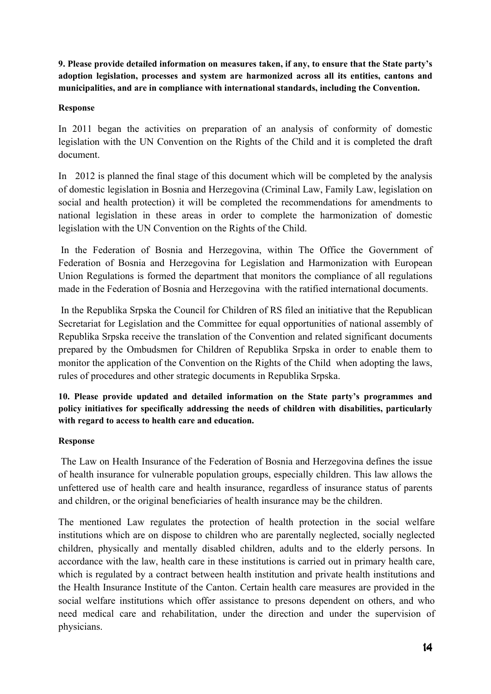**9. Please provide detailed information on measures taken, if any, to ensure that the State party's adoption legislation, processes and system are harmonized across all its entities, cantons and municipalities, and are in compliance with international standards, including the Convention.** 

## **Response**

In 2011 began the activities on preparation of an analysis of conformity of domestic legislation with the UN Convention on the Rights of the Child and it is completed the draft document.

In 2012 is planned the final stage of this document which will be completed by the analysis of domestic legislation in Bosnia and Herzegovina (Criminal Law, Family Law, legislation on social and health protection) it will be completed the recommendations for amendments to national legislation in these areas in order to complete the harmonization of domestic legislation with the UN Convention on the Rights of the Child.

 In the Federation of Bosnia and Herzegovina, within The Office the Government of Federation of Bosnia and Herzegovina for Legislation and Harmonization with European Union Regulations is formed the department that monitors the compliance of all regulations made in the Federation of Bosnia and Herzegovina with the ratified international documents.

 In the Republika Srpska the Council for Children of RS filed an initiative that the Republican Secretariat for Legislation and the Committee for equal opportunities of national assembly of Republika Srpska receive the translation of the Convention and related significant documents prepared by the Ombudsmen for Children of Republika Srpska in order to enable them to monitor the application of the Convention on the Rights of the Child when adopting the laws, rules of procedures and other strategic documents in Republika Srpska.

**10. Please provide updated and detailed information on the State party's programmes and policy initiatives for specifically addressing the needs of children with disabilities, particularly with regard to access to health care and education.** 

## **Response**

 The Law on Health Insurance of the Federation of Bosnia and Herzegovina defines the issue of health insurance for vulnerable population groups, especially children. This law allows the unfettered use of health care and health insurance, regardless of insurance status of parents and children, or the original beneficiaries of health insurance may be the children.

The mentioned Law regulates the protection of health protection in the social welfare institutions which are on dispose to children who are parentally neglected, socially neglected children, physically and mentally disabled children, adults and to the elderly persons. In accordance with the law, health care in these institutions is carried out in primary health care, which is regulated by a contract between health institution and private health institutions and the Health Insurance Institute of the Canton. Certain health care measures are provided in the social welfare institutions which offer assistance to presons dependent on others, and who need medical care and rehabilitation, under the direction and under the supervision of physicians.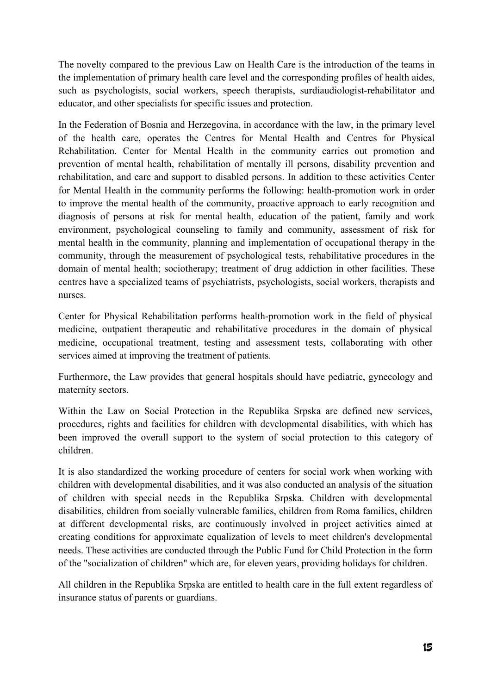The novelty compared to the previous Law on Health Care is the introduction of the teams in the implementation of primary health care level and the corresponding profiles of health aides, such as psychologists, social workers, speech therapists, surdiaudiologist-rehabilitator and educator, and other specialists for specific issues and protection.

In the Federation of Bosnia and Herzegovina, in accordance with the law, in the primary level of the health care, operates the Centres for Mental Health and Centres for Physical Rehabilitation. Center for Mental Health in the community carries out promotion and prevention of mental health, rehabilitation of mentally ill persons, disability prevention and rehabilitation, and care and support to disabled persons. In addition to these activities Center for Mental Health in the community performs the following: health-promotion work in order to improve the mental health of the community, proactive approach to early recognition and diagnosis of persons at risk for mental health, education of the patient, family and work environment, psychological counseling to family and community, assessment of risk for mental health in the community, planning and implementation of occupational therapy in the community, through the measurement of psychological tests, rehabilitative procedures in the domain of mental health; sociotherapy; treatment of drug addiction in other facilities. These centres have a specialized teams of psychiatrists, psychologists, social workers, therapists and nurses.

Center for Physical Rehabilitation performs health-promotion work in the field of physical medicine, outpatient therapeutic and rehabilitative procedures in the domain of physical medicine, occupational treatment, testing and assessment tests, collaborating with other services aimed at improving the treatment of patients.

Furthermore, the Law provides that general hospitals should have pediatric, gynecology and maternity sectors.

Within the Law on Social Protection in the Republika Srpska are defined new services, procedures, rights and facilities for children with developmental disabilities, with which has been improved the overall support to the system of social protection to this category of children.

It is also standardized the working procedure of centers for social work when working with children with developmental disabilities, and it was also conducted an analysis of the situation of children with special needs in the Republika Srpska. Children with developmental disabilities, children from socially vulnerable families, children from Roma families, children at different developmental risks, are continuously involved in project activities aimed at creating conditions for approximate equalization of levels to meet children's developmental needs. These activities are conducted through the Public Fund for Child Protection in the form of the "socialization of children" which are, for eleven years, providing holidays for children.

All children in the Republika Srpska are entitled to health care in the full extent regardless of insurance status of parents or guardians.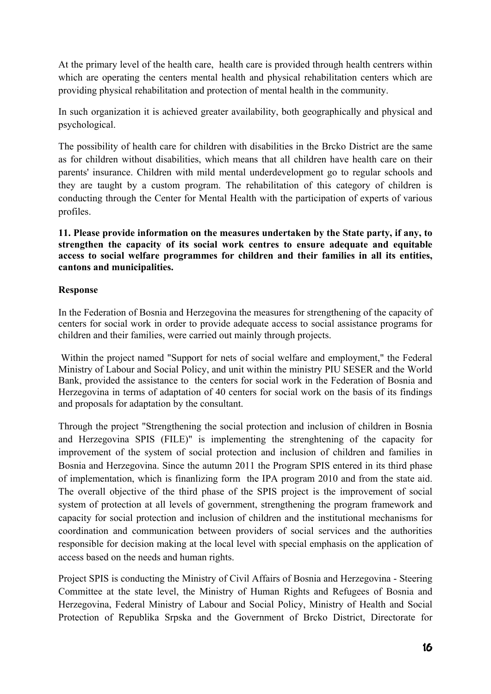At the primary level of the health care, health care is provided through health centrers within which are operating the centers mental health and physical rehabilitation centers which are providing physical rehabilitation and protection of mental health in the community.

In such organization it is achieved greater availability, both geographically and physical and psychological.

The possibility of health care for children with disabilities in the Brcko District are the same as for children without disabilities, which means that all children have health care on their parents' insurance. Children with mild mental underdevelopment go to regular schools and they are taught by a custom program. The rehabilitation of this category of children is conducting through the Center for Mental Health with the participation of experts of various profiles.

**11. Please provide information on the measures undertaken by the State party, if any, to strengthen the capacity of its social work centres to ensure adequate and equitable access to social welfare programmes for children and their families in all its entities, cantons and municipalities.** 

## **Response**

In the Federation of Bosnia and Herzegovina the measures for strengthening of the capacity of centers for social work in order to provide adequate access to social assistance programs for children and their families, were carried out mainly through projects.

 Within the project named "Support for nets of social welfare and employment," the Federal Ministry of Labour and Social Policy, and unit within the ministry PIU SESER and the World Bank, provided the assistance to the centers for social work in the Federation of Bosnia and Herzegovina in terms of adaptation of 40 centers for social work on the basis of its findings and proposals for adaptation by the consultant.

Through the project "Strengthening the social protection and inclusion of children in Bosnia and Herzegovina SPIS (FILE)" is implementing the strenghtening of the capacity for improvement of the system of social protection and inclusion of children and families in Bosnia and Herzegovina. Since the autumn 2011 the Program SPIS entered in its third phase of implementation, which is finanlizing form the IPA program 2010 and from the state aid. The overall objective of the third phase of the SPIS project is the improvement of social system of protection at all levels of government, strengthening the program framework and capacity for social protection and inclusion of children and the institutional mechanisms for coordination and communication between providers of social services and the authorities responsible for decision making at the local level with special emphasis on the application of access based on the needs and human rights.

Project SPIS is conducting the Ministry of Civil Affairs of Bosnia and Herzegovina - Steering Committee at the state level, the Ministry of Human Rights and Refugees of Bosnia and Herzegovina, Federal Ministry of Labour and Social Policy, Ministry of Health and Social Protection of Republika Srpska and the Government of Brcko District, Directorate for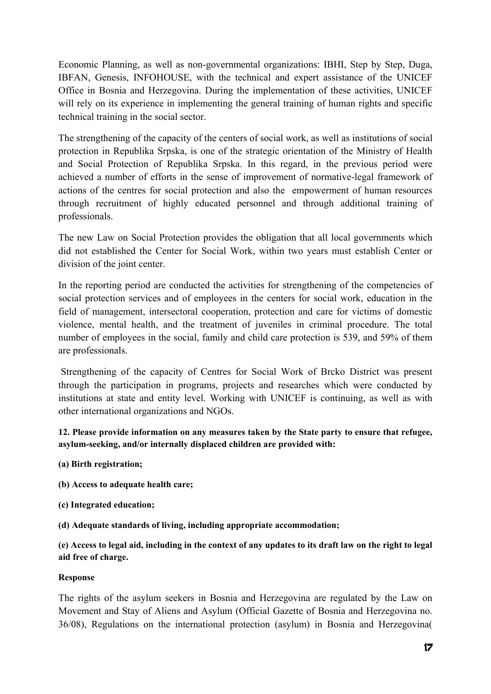Economic Planning, as well as non-governmental organizations: IBHI, Step by Step, Duga, IBFAN, Genesis, INFOHOUSE, with the technical and expert assistance of the UNICEF Office in Bosnia and Herzegovina. During the implementation of these activities, UNICEF will rely on its experience in implementing the general training of human rights and specific technical training in the social sector.

The strengthening of the capacity of the centers of social work, as well as institutions of social protection in Republika Srpska, is one of the strategic orientation of the Ministry of Health and Social Protection of Republika Srpska. In this regard, in the previous period were achieved a number of efforts in the sense of improvement of normative-legal framework of actions of the centres for social protection and also the empowerment of human resources through recruitment of highly educated personnel and through additional training of professionals.

The new Law on Social Protection provides the obligation that all local governments which did not established the Center for Social Work, within two years must establish Center or division of the joint center.

In the reporting period are conducted the activities for strengthening of the competencies of social protection services and of employees in the centers for social work, education in the field of management, intersectoral cooperation, protection and care for victims of domestic violence, mental health, and the treatment of juveniles in criminal procedure. The total number of employees in the social, family and child care protection is 539, and 59% of them are professionals.

 Strengthening of the capacity of Centres for Social Work of Brcko District was present through the participation in programs, projects and researches which were conducted by institutions at state and entity level. Working with UNICEF is continuing, as well as with other international organizations and NGOs.

**12. Please provide information on any measures taken by the State party to ensure that refugee, asylum-seeking, and/or internally displaced children are provided with:** 

- **(a) Birth registration;**
- **(b) Access to adequate health care;**
- **(c) Integrated education;**
- **(d) Adequate standards of living, including appropriate accommodation;**

**(e) Access to legal aid, including in the context of any updates to its draft law on the right to legal aid free of charge.** 

### **Response**

The rights of the asylum seekers in Bosnia and Herzegovina are regulated by the Law on Movement and Stay of Aliens and Asylum (Official Gazette of Bosnia and Herzegovina no. 36/08), Regulations on the international protection (asylum) in Bosnia and Herzegovina(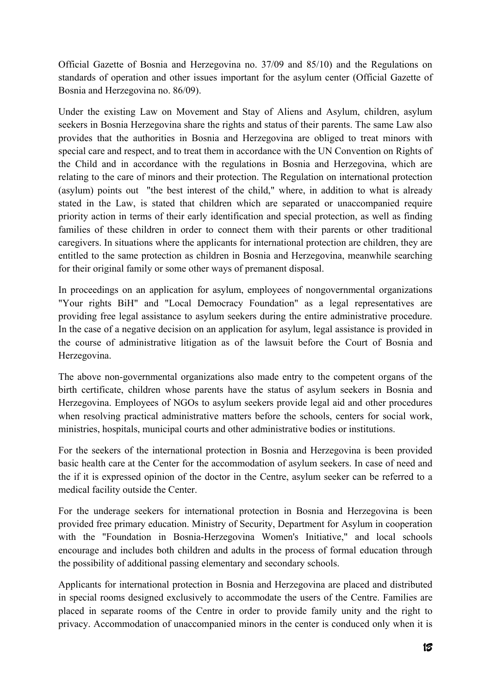Official Gazette of Bosnia and Herzegovina no. 37/09 and 85/10) and the Regulations on standards of operation and other issues important for the asylum center (Official Gazette of Bosnia and Herzegovina no. 86/09).

Under the existing Law on Movement and Stay of Aliens and Asylum, children, asylum seekers in Bosnia Herzegovina share the rights and status of their parents. The same Law also provides that the authorities in Bosnia and Herzegovina are obliged to treat minors with special care and respect, and to treat them in accordance with the UN Convention on Rights of the Child and in accordance with the regulations in Bosnia and Herzegovina, which are relating to the care of minors and their protection. The Regulation on international protection (asylum) points out "the best interest of the child," where, in addition to what is already stated in the Law, is stated that children which are separated or unaccompanied require priority action in terms of their early identification and special protection, as well as finding families of these children in order to connect them with their parents or other traditional caregivers. In situations where the applicants for international protection are children, they are entitled to the same protection as children in Bosnia and Herzegovina, meanwhile searching for their original family or some other ways of premanent disposal.

In proceedings on an application for asylum, employees of nongovernmental organizations "Your rights BiH" and "Local Democracy Foundation" as a legal representatives are providing free legal assistance to asylum seekers during the entire administrative procedure. In the case of a negative decision on an application for asylum, legal assistance is provided in the course of administrative litigation as of the lawsuit before the Court of Bosnia and Herzegovina.

The above non-governmental organizations also made entry to the competent organs of the birth certificate, children whose parents have the status of asylum seekers in Bosnia and Herzegovina. Employees of NGOs to asylum seekers provide legal aid and other procedures when resolving practical administrative matters before the schools, centers for social work, ministries, hospitals, municipal courts and other administrative bodies or institutions.

For the seekers of the international protection in Bosnia and Herzegovina is been provided basic health care at the Center for the accommodation of asylum seekers. In case of need and the if it is expressed opinion of the doctor in the Centre, asylum seeker can be referred to a medical facility outside the Center.

For the underage seekers for international protection in Bosnia and Herzegovina is been provided free primary education. Ministry of Security, Department for Asylum in cooperation with the "Foundation in Bosnia-Herzegovina Women's Initiative," and local schools encourage and includes both children and adults in the process of formal education through the possibility of additional passing elementary and secondary schools.

Applicants for international protection in Bosnia and Herzegovina are placed and distributed in special rooms designed exclusively to accommodate the users of the Centre. Families are placed in separate rooms of the Centre in order to provide family unity and the right to privacy. Accommodation of unaccompanied minors in the center is conduced only when it is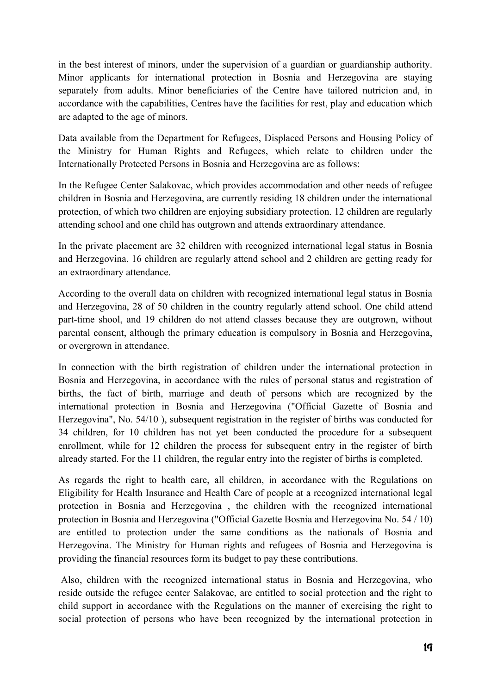in the best interest of minors, under the supervision of a guardian or guardianship authority. Minor applicants for international protection in Bosnia and Herzegovina are staying separately from adults. Minor beneficiaries of the Centre have tailored nutricion and, in accordance with the capabilities, Centres have the facilities for rest, play and education which are adapted to the age of minors.

Data available from the Department for Refugees, Displaced Persons and Housing Policy of the Ministry for Human Rights and Refugees, which relate to children under the Internationally Protected Persons in Bosnia and Herzegovina are as follows:

In the Refugee Center Salakovac, which provides accommodation and other needs of refugee children in Bosnia and Herzegovina, are currently residing 18 children under the international protection, of which two children are enjoying subsidiary protection. 12 children are regularly attending school and one child has outgrown and attends extraordinary attendance.

In the private placement are 32 children with recognized international legal status in Bosnia and Herzegovina. 16 children are regularly attend school and 2 children are getting ready for an extraordinary attendance.

According to the overall data on children with recognized international legal status in Bosnia and Herzegovina, 28 of 50 children in the country regularly attend school. One child attend part-time shool, and 19 children do not attend classes because they are outgrown, without parental consent, although the primary education is compulsory in Bosnia and Herzegovina, or overgrown in attendance.

In connection with the birth registration of children under the international protection in Bosnia and Herzegovina, in accordance with the rules of personal status and registration of births, the fact of birth, marriage and death of persons which are recognized by the international protection in Bosnia and Herzegovina ("Official Gazette of Bosnia and Herzegovina", No. 54/10 ), subsequent registration in the register of births was conducted for 34 children, for 10 children has not yet been conducted the procedure for a subsequent enrollment, while for 12 children the process for subsequent entry in the register of birth already started. For the 11 children, the regular entry into the register of births is completed.

As regards the right to health care, all children, in accordance with the Regulations on Eligibility for Health Insurance and Health Care of people at a recognized international legal protection in Bosnia and Herzegovina , the children with the recognized international protection in Bosnia and Herzegovina ("Official Gazette Bosnia and Herzegovina No. 54 / 10) are entitled to protection under the same conditions as the nationals of Bosnia and Herzegovina. The Ministry for Human rights and refugees of Bosnia and Herzegovina is providing the financial resources form its budget to pay these contributions.

 Also, children with the recognized international status in Bosnia and Herzegovina, who reside outside the refugee center Salakovac, are entitled to social protection and the right to child support in accordance with the Regulations on the manner of exercising the right to social protection of persons who have been recognized by the international protection in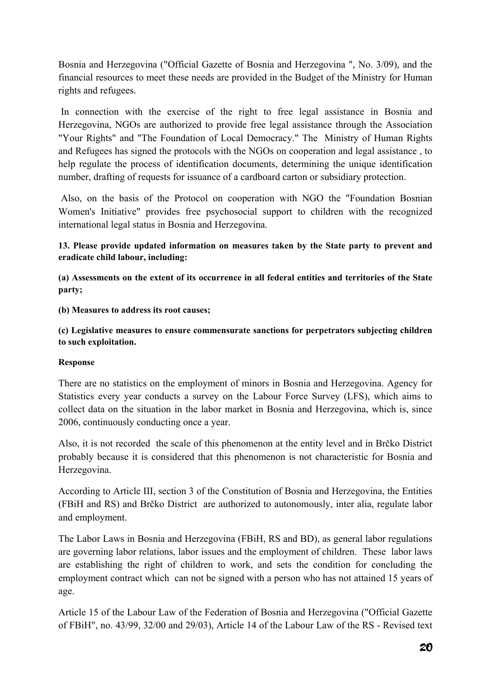Bosnia and Herzegovina ("Official Gazette of Bosnia and Herzegovina ", No. 3/09), and the financial resources to meet these needs are provided in the Budget of the Ministry for Human rights and refugees.

 In connection with the exercise of the right to free legal assistance in Bosnia and Herzegovina, NGOs are authorized to provide free legal assistance through the Association "Your Rights" and "The Foundation of Local Democracy." The Ministry of Human Rights and Refugees has signed the protocols with the NGOs on cooperation and legal assistance , to help regulate the process of identification documents, determining the unique identification number, drafting of requests for issuance of a cardboard carton or subsidiary protection.

 Also, on the basis of the Protocol on cooperation with NGO the "Foundation Bosnian Women's Initiative" provides free psychosocial support to children with the recognized international legal status in Bosnia and Herzegovina.

## **13. Please provide updated information on measures taken by the State party to prevent and eradicate child labour, including:**

**(a) Assessments on the extent of its occurrence in all federal entities and territories of the State party;** 

**(b) Measures to address its root causes;** 

**(c) Legislative measures to ensure commensurate sanctions for perpetrators subjecting children to such exploitation.** 

### **Response**

There are no statistics on the employment of minors in Bosnia and Herzegovina. Agency for Statistics every year conducts a survey on the Labour Force Survey (LFS), which aims to collect data on the situation in the labor market in Bosnia and Herzegovina, which is, since 2006, continuously conducting once a year.

Also, it is not recorded the scale of this phenomenon at the entity level and in Brčko District probably because it is considered that this phenomenon is not characteristic for Bosnia and Herzegovina.

According to Article III, section 3 of the Constitution of Bosnia and Herzegovina, the Entities (FBiH and RS) and Brčko District are authorized to autonomously, inter alia, regulate labor and employment.

The Labor Laws in Bosnia and Herzegovina (FBiH, RS and BD), as general labor regulations are governing labor relations, labor issues and the employment of children. These labor laws are establishing the right of children to work, and sets the condition for concluding the employment contract which can not be signed with a person who has not attained 15 years of age.

Article 15 of the Labour Law of the Federation of Bosnia and Herzegovina ("Official Gazette of FBiH", no. 43/99, 32/00 and 29/03), Article 14 of the Labour Law of the RS - Revised text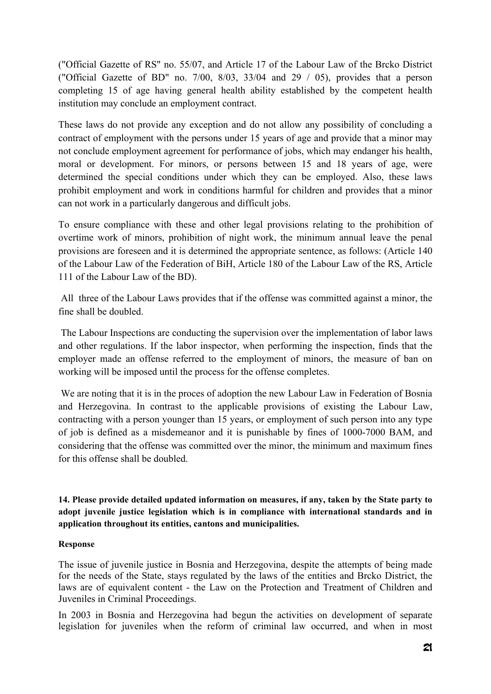("Official Gazette of RS" no. 55/07, and Article 17 of the Labour Law of the Brcko District ("Official Gazette of BD" no. 7/00, 8/03, 33/04 and 29 / 05), provides that a person completing 15 of age having general health ability established by the competent health institution may conclude an employment contract.

These laws do not provide any exception and do not allow any possibility of concluding a contract of employment with the persons under 15 years of age and provide that a minor may not conclude employment agreement for performance of jobs, which may endanger his health, moral or development. For minors, or persons between 15 and 18 years of age, were determined the special conditions under which they can be employed. Also, these laws prohibit employment and work in conditions harmful for children and provides that a minor can not work in a particularly dangerous and difficult jobs.

To ensure compliance with these and other legal provisions relating to the prohibition of overtime work of minors, prohibition of night work, the minimum annual leave the penal provisions are foreseen and it is determined the appropriate sentence, as follows: (Article 140 of the Labour Law of the Federation of BiH, Article 180 of the Labour Law of the RS, Article 111 of the Labour Law of the BD).

 All three of the Labour Laws provides that if the offense was committed against a minor, the fine shall be doubled.

 The Labour Inspections are conducting the supervision over the implementation of labor laws and other regulations. If the labor inspector, when performing the inspection, finds that the employer made an offense referred to the employment of minors, the measure of ban on working will be imposed until the process for the offense completes.

 We are noting that it is in the proces of adoption the new Labour Law in Federation of Bosnia and Herzegovina. In contrast to the applicable provisions of existing the Labour Law, contracting with a person younger than 15 years, or employment of such person into any type of job is defined as a misdemeanor and it is punishable by fines of 1000-7000 BAM, and considering that the offense was committed over the minor, the minimum and maximum fines for this offense shall be doubled.

**14. Please provide detailed updated information on measures, if any, taken by the State party to adopt juvenile justice legislation which is in compliance with international standards and in application throughout its entities, cantons and municipalities.** 

### **Response**

The issue of juvenile justice in Bosnia and Herzegovina, despite the attempts of being made for the needs of the State, stays regulated by the laws of the entities and Brcko District, the laws are of equivalent content - the Law on the Protection and Treatment of Children and Juveniles in Criminal Proceedings.

In 2003 in Bosnia and Herzegovina had begun the activities on development of separate legislation for juveniles when the reform of criminal law occurred, and when in most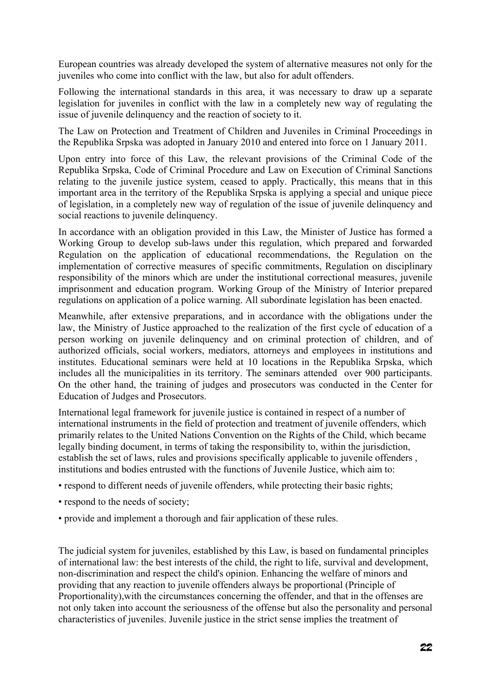European countries was already developed the system of alternative measures not only for the juveniles who come into conflict with the law, but also for adult offenders.

Following the international standards in this area, it was necessary to draw up a separate legislation for juveniles in conflict with the law in a completely new way of regulating the issue of juvenile delinquency and the reaction of society to it.

The Law on Protection and Treatment of Children and Juveniles in Criminal Proceedings in the Republika Srpska was adopted in January 2010 and entered into force on 1 January 2011.

Upon entry into force of this Law, the relevant provisions of the Criminal Code of the Republika Srpska, Code of Criminal Procedure and Law on Execution of Criminal Sanctions relating to the juvenile justice system, ceased to apply. Practically, this means that in this important area in the territory of the Republika Srpska is applying a special and unique piece of legislation, in a completely new way of regulation of the issue of juvenile delinquency and social reactions to juvenile delinquency.

In accordance with an obligation provided in this Law, the Minister of Justice has formed a Working Group to develop sub-laws under this regulation, which prepared and forwarded Regulation on the application of educational recommendations, the Regulation on the implementation of corrective measures of specific commitments, Regulation on disciplinary responsibility of the minors which are under the institutional correctional measures, juvenile imprisonment and education program. Working Group of the Ministry of Interior prepared regulations on application of a police warning. All subordinate legislation has been enacted.

Meanwhile, after extensive preparations, and in accordance with the obligations under the law, the Ministry of Justice approached to the realization of the first cycle of education of a person working on juvenile delinquency and on criminal protection of children, and of authorized officials, social workers, mediators, attorneys and employees in institutions and institutes. Educational seminars were held at 10 locations in the Republika Srpska, which includes all the municipalities in its territory. The seminars attended over 900 participants. On the other hand, the training of judges and prosecutors was conducted in the Center for Education of Judges and Prosecutors.

International legal framework for juvenile justice is contained in respect of a number of international instruments in the field of protection and treatment of juvenile offenders, which primarily relates to the United Nations Convention on the Rights of the Child, which became legally binding document, in terms of taking the responsibility to, within the jurisdiction, establish the set of laws, rules and provisions specifically applicable to juvenile offenders , institutions and bodies entrusted with the functions of Juvenile Justice, which aim to:

- respond to different needs of juvenile offenders, while protecting their basic rights;
- respond to the needs of society:
- provide and implement a thorough and fair application of these rules.

The judicial system for juveniles, established by this Law, is based on fundamental principles of international law: the best interests of the child, the right to life, survival and development, non-discrimination and respect the child's opinion. Enhancing the welfare of minors and providing that any reaction to juvenile offenders always be proportional (Principle of Proportionality),with the circumstances concerning the offender, and that in the offenses are not only taken into account the seriousness of the offense but also the personality and personal characteristics of juveniles. Juvenile justice in the strict sense implies the treatment of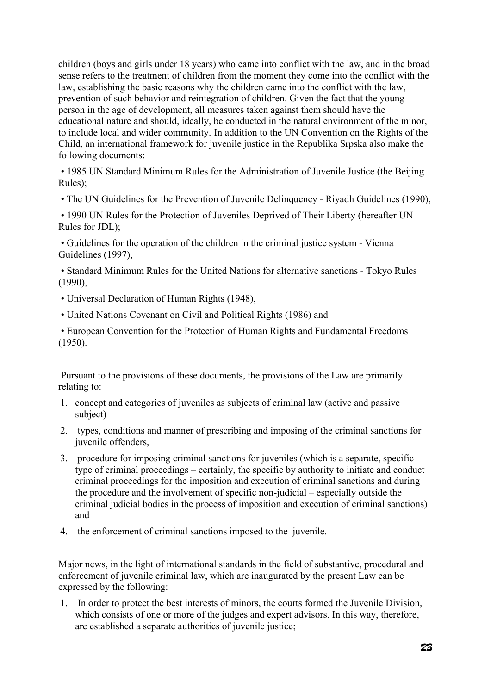children (boys and girls under 18 years) who came into conflict with the law, and in the broad sense refers to the treatment of children from the moment they come into the conflict with the law, establishing the basic reasons why the children came into the conflict with the law, prevention of such behavior and reintegration of children. Given the fact that the young person in the age of development, all measures taken against them should have the educational nature and should, ideally, be conducted in the natural environment of the minor, to include local and wider community. In addition to the UN Convention on the Rights of the Child, an international framework for juvenile justice in the Republika Srpska also make the following documents:

 • 1985 UN Standard Minimum Rules for the Administration of Juvenile Justice (the Beijing  $Rules$ )

• The UN Guidelines for the Prevention of Juvenile Delinquency - Riyadh Guidelines (1990),

 • 1990 UN Rules for the Protection of Juveniles Deprived of Their Liberty (hereafter UN Rules for JDL);

 • Guidelines for the operation of the children in the criminal justice system - Vienna Guidelines (1997),

 • Standard Minimum Rules for the United Nations for alternative sanctions - Tokyo Rules (1990),

- Universal Declaration of Human Rights (1948),
- United Nations Covenant on Civil and Political Rights (1986) and

 • European Convention for the Protection of Human Rights and Fundamental Freedoms (1950).

 Pursuant to the provisions of these documents, the provisions of the Law are primarily relating to:

- 1. concept and categories of juveniles as subjects of criminal law (active and passive subject)
- 2. types, conditions and manner of prescribing and imposing of the criminal sanctions for juvenile offenders,
- 3. procedure for imposing criminal sanctions for juveniles (which is a separate, specific type of criminal proceedings – certainly, the specific by authority to initiate and conduct criminal proceedings for the imposition and execution of criminal sanctions and during the procedure and the involvement of specific non-judicial – especially outside the criminal judicial bodies in the process of imposition and execution of criminal sanctions) and
- 4. the enforcement of criminal sanctions imposed to the juvenile.

Major news, in the light of international standards in the field of substantive, procedural and enforcement of juvenile criminal law, which are inaugurated by the present Law can be expressed by the following:

1. In order to protect the best interests of minors, the courts formed the Juvenile Division, which consists of one or more of the judges and expert advisors. In this way, therefore, are established a separate authorities of juvenile justice;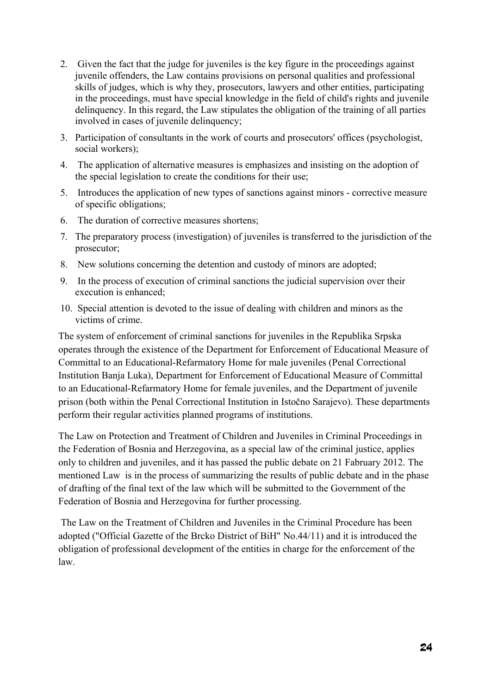- 2. Given the fact that the judge for juveniles is the key figure in the proceedings against juvenile offenders, the Law contains provisions on personal qualities and professional skills of judges, which is why they, prosecutors, lawyers and other entities, participating in the proceedings, must have special knowledge in the field of child's rights and juvenile delinquency. In this regard, the Law stipulates the obligation of the training of all parties involved in cases of juvenile delinquency;
- 3. Participation of consultants in the work of courts and prosecutors' offices (psychologist, social workers);
- 4. The application of alternative measures is emphasizes and insisting on the adoption of the special legislation to create the conditions for their use;
- 5. Introduces the application of new types of sanctions against minors corrective measure of specific obligations;
- 6. The duration of corrective measures shortens;
- 7. The preparatory process (investigation) of juveniles is transferred to the jurisdiction of the prosecutor;
- 8. New solutions concerning the detention and custody of minors are adopted;
- 9. In the process of execution of criminal sanctions the judicial supervision over their execution is enhanced;
- 10. Special attention is devoted to the issue of dealing with children and minors as the victims of crime.

The system of enforcement of criminal sanctions for juveniles in the Republika Srpska operates through the existence of the Department for Enforcement of Educational Measure of Committal to an Educational-Refarmatory Home for male juveniles (Penal Correctional Institution Banja Luka), Department for Enforcement of Educational Measure of Committal to an Educational-Refarmatory Home for female juveniles, and the Department of juvenile prison (both within the Penal Correctional Institution in Istočno Sarajevo). These departments perform their regular activities planned programs of institutions.

The Law on Protection and Treatment of Children and Juveniles in Criminal Proceedings in the Federation of Bosnia and Herzegovina, as a special law of the criminal justice, applies only to children and juveniles, and it has passed the public debate on 21 Fabruary 2012. The mentioned Law is in the process of summarizing the results of public debate and in the phase of drafting of the final text of the law which will be submitted to the Government of the Federation of Bosnia and Herzegovina for further processing.

 The Law on the Treatment of Children and Juveniles in the Criminal Procedure has been adopted ("Official Gazette of the Brcko District of BiH" No.44/11) and it is introduced the obligation of professional development of the entities in charge for the enforcement of the law.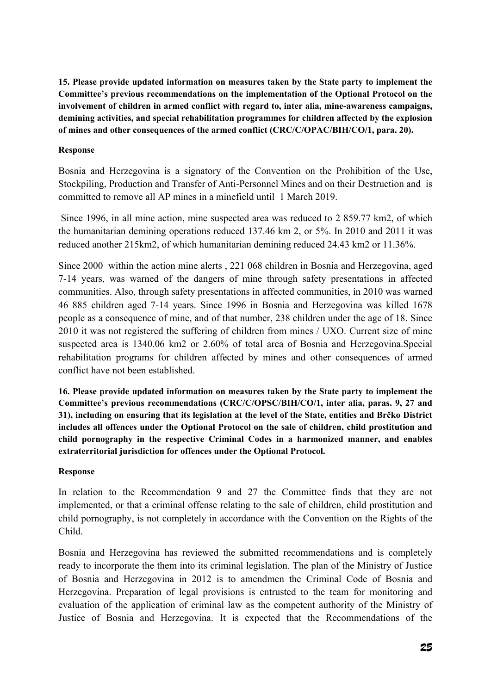**15. Please provide updated information on measures taken by the State party to implement the Committee's previous recommendations on the implementation of the Optional Protocol on the involvement of children in armed conflict with regard to, inter alia, mine-awareness campaigns, demining activities, and special rehabilitation programmes for children affected by the explosion of mines and other consequences of the armed conflict (CRC/C/OPAC/BIH/CO/1, para. 20).** 

## **Response**

Bosnia and Herzegovina is a signatory of the Convention on the Prohibition of the Use, Stockpiling, Production and Transfer of Anti-Personnel Mines and on their Destruction and is committed to remove all AP mines in a minefield until 1 March 2019.

 Since 1996, in all mine action, mine suspected area was reduced to 2 859.77 km2, of which the humanitarian demining operations reduced 137.46 km 2, or 5%. In 2010 and 2011 it was reduced another 215km2, of which humanitarian demining reduced 24.43 km2 or 11.36%.

Since 2000 within the action mine alerts , 221 068 children in Bosnia and Herzegovina, aged 7-14 years, was warned of the dangers of mine through safety presentations in affected communities. Also, through safety presentations in affected communities, in 2010 was warned 46 885 children aged 7-14 years. Since 1996 in Bosnia and Herzegovina was killed 1678 people as a consequence of mine, and of that number, 238 children under the age of 18. Since 2010 it was not registered the suffering of children from mines / UXO. Current size of mine suspected area is 1340.06 km2 or 2.60% of total area of Bosnia and Herzegovina.Special rehabilitation programs for children affected by mines and other consequences of armed conflict have not been established.

**16. Please provide updated information on measures taken by the State party to implement the Committee's previous recommendations (CRC/C/OPSC/BIH/CO/1, inter alia, paras. 9, 27 and 31), including on ensuring that its legislation at the level of the State, entities and Brčko District includes all offences under the Optional Protocol on the sale of children, child prostitution and child pornography in the respective Criminal Codes in a harmonized manner, and enables extraterritorial jurisdiction for offences under the Optional Protocol.** 

### **Response**

In relation to the Recommendation 9 and 27 the Committee finds that they are not implemented, or that a criminal offense relating to the sale of children, child prostitution and child pornography, is not completely in accordance with the Convention on the Rights of the Child.

Bosnia and Herzegovina has reviewed the submitted recommendations and is completely ready to incorporate the them into its criminal legislation. The plan of the Ministry of Justice of Bosnia and Herzegovina in 2012 is to amendmen the Criminal Code of Bosnia and Herzegovina. Preparation of legal provisions is entrusted to the team for monitoring and evaluation of the application of criminal law as the competent authority of the Ministry of Justice of Bosnia and Herzegovina. It is expected that the Recommendations of the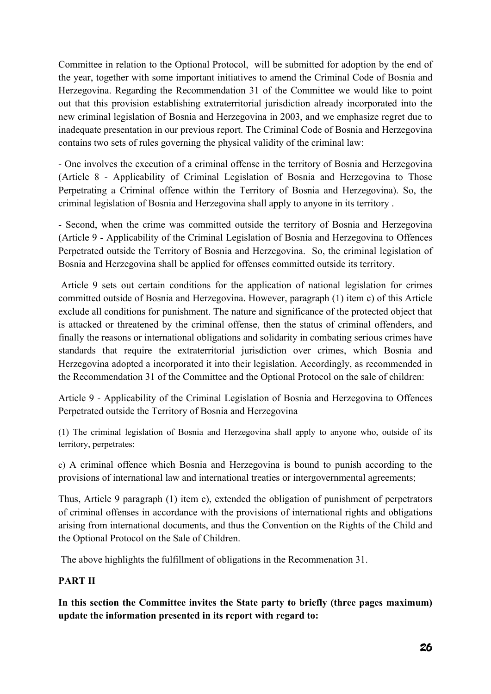Committee in relation to the Optional Protocol, will be submitted for adoption by the end of the year, together with some important initiatives to amend the Criminal Code of Bosnia and Herzegovina. Regarding the Recommendation 31 of the Committee we would like to point out that this provision establishing extraterritorial jurisdiction already incorporated into the new criminal legislation of Bosnia and Herzegovina in 2003, and we emphasize regret due to inadequate presentation in our previous report. The Criminal Code of Bosnia and Herzegovina contains two sets of rules governing the physical validity of the criminal law:

- One involves the execution of a criminal offense in the territory of Bosnia and Herzegovina (Article 8 - Applicability of Criminal Legislation of Bosnia and Herzegovina to Those Perpetrating a Criminal offence within the Territory of Bosnia and Herzegovina). So, the criminal legislation of Bosnia and Herzegovina shall apply to anyone in its territory .

- Second, when the crime was committed outside the territory of Bosnia and Herzegovina (Article 9 - Applicability of the Criminal Legislation of Bosnia and Herzegovina to Offences Perpetrated outside the Territory of Bosnia and Herzegovina. So, the criminal legislation of Bosnia and Herzegovina shall be applied for offenses committed outside its territory.

 Article 9 sets out certain conditions for the application of national legislation for crimes committed outside of Bosnia and Herzegovina. However, paragraph (1) item c) of this Article exclude all conditions for punishment. The nature and significance of the protected object that is attacked or threatened by the criminal offense, then the status of criminal offenders, and finally the reasons or international obligations and solidarity in combating serious crimes have standards that require the extraterritorial jurisdiction over crimes, which Bosnia and Herzegovina adopted a incorporated it into their legislation. Accordingly, as recommended in the Recommendation 31 of the Committee and the Optional Protocol on the sale of children:

Article 9 - Applicability of the Criminal Legislation of Bosnia and Herzegovina to Offences Perpetrated outside the Territory of Bosnia and Herzegovina

(1) The criminal legislation of Bosnia and Herzegovina shall apply to anyone who, outside of its territory, perpetrates:

c) A criminal offence which Bosnia and Herzegovina is bound to punish according to the provisions of international law and international treaties or intergovernmental agreements;

Thus, Article 9 paragraph (1) item c), extended the obligation of punishment of perpetrators of criminal offenses in accordance with the provisions of international rights and obligations arising from international documents, and thus the Convention on the Rights of the Child and the Optional Protocol on the Sale of Children.

The above highlights the fulfillment of obligations in the Recommenation 31.

# **PART II**

**In this section the Committee invites the State party to briefly (three pages maximum) update the information presented in its report with regard to:**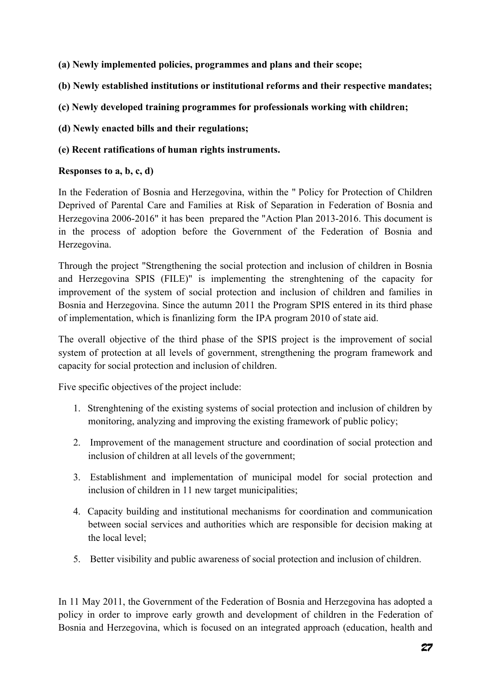- **(a) Newly implemented policies, programmes and plans and their scope;**
- **(b) Newly established institutions or institutional reforms and their respective mandates;**
- **(c) Newly developed training programmes for professionals working with children;**
- **(d) Newly enacted bills and their regulations;**

## **(e) Recent ratifications of human rights instruments.**

## **Responses to a, b, c, d)**

In the Federation of Bosnia and Herzegovina, within the " Policy for Protection of Children Deprived of Parental Care and Families at Risk of Separation in Federation of Bosnia and Herzegovina 2006-2016" it has been prepared the "Action Plan 2013-2016. This document is in the process of adoption before the Government of the Federation of Bosnia and Herzegovina.

Through the project "Strengthening the social protection and inclusion of children in Bosnia and Herzegovina SPIS (FILE)" is implementing the strenghtening of the capacity for improvement of the system of social protection and inclusion of children and families in Bosnia and Herzegovina. Since the autumn 2011 the Program SPIS entered in its third phase of implementation, which is finanlizing form the IPA program 2010 of state aid.

The overall objective of the third phase of the SPIS project is the improvement of social system of protection at all levels of government, strengthening the program framework and capacity for social protection and inclusion of children.

Five specific objectives of the project include:

- 1. Strenghtening of the existing systems of social protection and inclusion of children by monitoring, analyzing and improving the existing framework of public policy;
- 2. Improvement of the management structure and coordination of social protection and inclusion of children at all levels of the government;
- 3. Establishment and implementation of municipal model for social protection and inclusion of children in 11 new target municipalities;
- 4. Capacity building and institutional mechanisms for coordination and communication between social services and authorities which are responsible for decision making at the local level;
- 5. Better visibility and public awareness of social protection and inclusion of children.

In 11 May 2011, the Government of the Federation of Bosnia and Herzegovina has adopted a policy in order to improve early growth and development of children in the Federation of Bosnia and Herzegovina, which is focused on an integrated approach (education, health and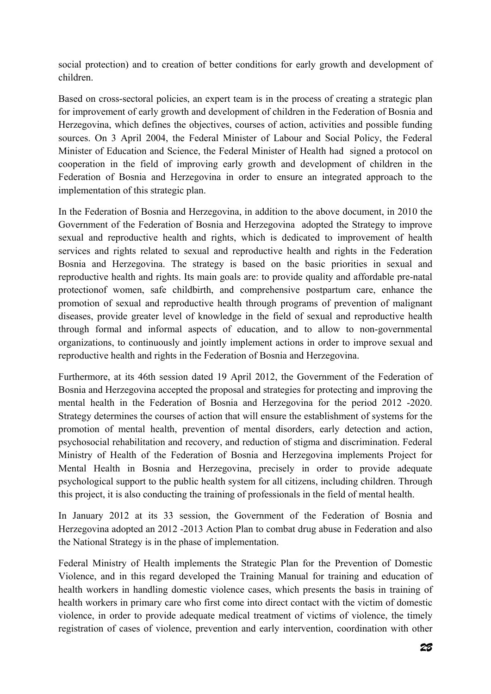social protection) and to creation of better conditions for early growth and development of children.

Based on cross-sectoral policies, an expert team is in the process of creating a strategic plan for improvement of early growth and development of children in the Federation of Bosnia and Herzegovina, which defines the objectives, courses of action, activities and possible funding sources. On 3 April 2004, the Federal Minister of Labour and Social Policy, the Federal Minister of Education and Science, the Federal Minister of Health had signed a protocol on cooperation in the field of improving early growth and development of children in the Federation of Bosnia and Herzegovina in order to ensure an integrated approach to the implementation of this strategic plan.

In the Federation of Bosnia and Herzegovina, in addition to the above document, in 2010 the Government of the Federation of Bosnia and Herzegovina adopted the Strategy to improve sexual and reproductive health and rights, which is dedicated to improvement of health services and rights related to sexual and reproductive health and rights in the Federation Bosnia and Herzegovina. The strategy is based on the basic priorities in sexual and reproductive health and rights. Its main goals are: to provide quality and affordable pre-natal protectionof women, safe childbirth, and comprehensive postpartum care, enhance the promotion of sexual and reproductive health through programs of prevention of malignant diseases, provide greater level of knowledge in the field of sexual and reproductive health through formal and informal aspects of education, and to allow to non-governmental organizations, to continuously and jointly implement actions in order to improve sexual and reproductive health and rights in the Federation of Bosnia and Herzegovina.

Furthermore, at its 46th session dated 19 April 2012, the Government of the Federation of Bosnia and Herzegovina accepted the proposal and strategies for protecting and improving the mental health in the Federation of Bosnia and Herzegovina for the period 2012 -2020. Strategy determines the courses of action that will ensure the establishment of systems for the promotion of mental health, prevention of mental disorders, early detection and action, psychosocial rehabilitation and recovery, and reduction of stigma and discrimination. Federal Ministry of Health of the Federation of Bosnia and Herzegovina implements Project for Mental Health in Bosnia and Herzegovina, precisely in order to provide adequate psychological support to the public health system for all citizens, including children. Through this project, it is also conducting the training of professionals in the field of mental health.

In January 2012 at its 33 session, the Government of the Federation of Bosnia and Herzegovina adopted an 2012 -2013 Action Plan to combat drug abuse in Federation and also the National Strategy is in the phase of implementation.

Federal Ministry of Health implements the Strategic Plan for the Prevention of Domestic Violence, and in this regard developed the Training Manual for training and education of health workers in handling domestic violence cases, which presents the basis in training of health workers in primary care who first come into direct contact with the victim of domestic violence, in order to provide adequate medical treatment of victims of violence, the timely registration of cases of violence, prevention and early intervention, coordination with other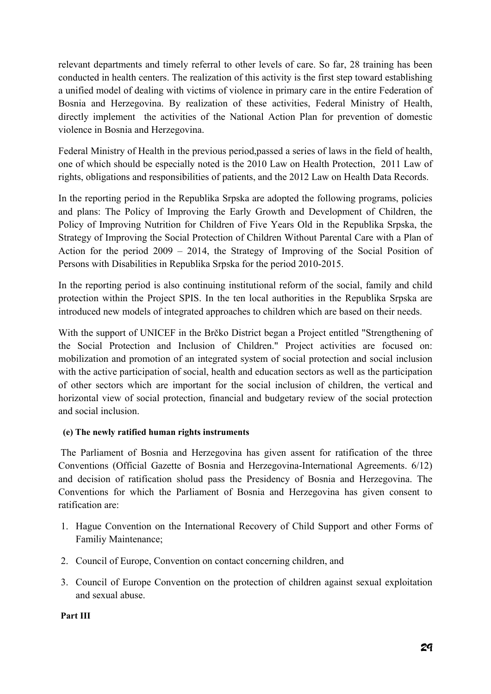relevant departments and timely referral to other levels of care. So far, 28 training has been conducted in health centers. The realization of this activity is the first step toward establishing a unified model of dealing with victims of violence in primary care in the entire Federation of Bosnia and Herzegovina. By realization of these activities, Federal Ministry of Health, directly implement the activities of the National Action Plan for prevention of domestic violence in Bosnia and Herzegovina.

Federal Ministry of Health in the previous period,passed a series of laws in the field of health, one of which should be especially noted is the 2010 Law on Health Protection, 2011 Law of rights, obligations and responsibilities of patients, and the 2012 Law on Health Data Records.

In the reporting period in the Republika Srpska are adopted the following programs, policies and plans: The Policy of Improving the Early Growth and Development of Children, the Policy of Improving Nutrition for Children of Five Years Old in the Republika Srpska, the Strategy of Improving the Social Protection of Children Without Parental Care with a Plan of Action for the period 2009 – 2014, the Strategy of Improving of the Social Position of Persons with Disabilities in Republika Srpska for the period 2010-2015.

In the reporting period is also continuing institutional reform of the social, family and child protection within the Project SPIS. In the ten local authorities in the Republika Srpska are introduced new models of integrated approaches to children which are based on their needs.

With the support of UNICEF in the Brčko District began a Project entitled "Strengthening of the Social Protection and Inclusion of Children." Project activities are focused on: mobilization and promotion of an integrated system of social protection and social inclusion with the active participation of social, health and education sectors as well as the participation of other sectors which are important for the social inclusion of children, the vertical and horizontal view of social protection, financial and budgetary review of the social protection and social inclusion.

## **(e) The newly ratified human rights instruments**

The Parliament of Bosnia and Herzegovina has given assent for ratification of the three Conventions (Official Gazette of Bosnia and Herzegovina-International Agreements. 6/12) and decision of ratification sholud pass the Presidency of Bosnia and Herzegovina. The Conventions for which the Parliament of Bosnia and Herzegovina has given consent to ratification are:

- 1. Hague Convention on the International Recovery of Child Support and other Forms of Familiy Maintenance;
- 2. Council of Europe, Convention on contact concerning children, and
- 3. Council of Europe Convention on the protection of children against sexual exploitation and sexual abuse.

 **Part III**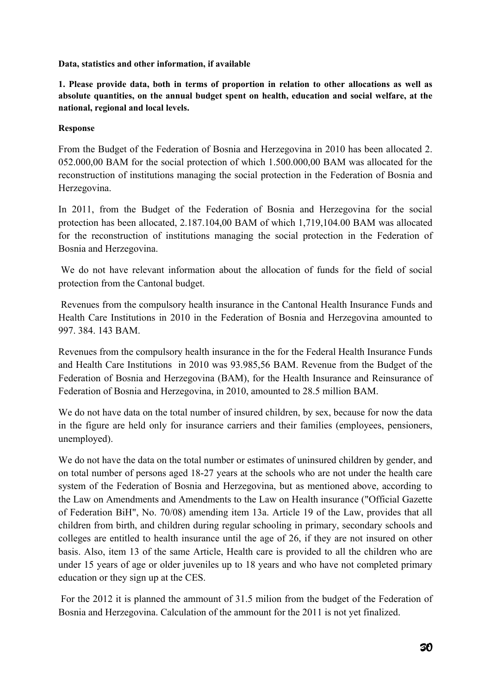**Data, statistics and other information, if available** 

**1. Please provide data, both in terms of proportion in relation to other allocations as well as absolute quantities, on the annual budget spent on health, education and social welfare, at the national, regional and local levels.** 

## **Response**

From the Budget of the Federation of Bosnia and Herzegovina in 2010 has been allocated 2. 052.000,00 BAM for the social protection of which 1.500.000,00 BAM was allocated for the reconstruction of institutions managing the social protection in the Federation of Bosnia and Herzegovina.

In 2011, from the Budget of the Federation of Bosnia and Herzegovina for the social protection has been allocated, 2.187.104,00 BAM of which 1,719,104.00 BAM was allocated for the reconstruction of institutions managing the social protection in the Federation of Bosnia and Herzegovina.

 We do not have relevant information about the allocation of funds for the field of social protection from the Cantonal budget.

 Revenues from the compulsory health insurance in the Cantonal Health Insurance Funds and Health Care Institutions in 2010 in the Federation of Bosnia and Herzegovina amounted to 997. 384. 143 BAM.

Revenues from the compulsory health insurance in the for the Federal Health Insurance Funds and Health Care Institutions in 2010 was 93.985,56 BAM. Revenue from the Budget of the Federation of Bosnia and Herzegovina (BAM), for the Health Insurance and Reinsurance of Federation of Bosnia and Herzegovina, in 2010, amounted to 28.5 million BAM.

We do not have data on the total number of insured children, by sex, because for now the data in the figure are held only for insurance carriers and their families (employees, pensioners, unemployed).

We do not have the data on the total number or estimates of uninsured children by gender, and on total number of persons aged 18-27 years at the schools who are not under the health care system of the Federation of Bosnia and Herzegovina, but as mentioned above, according to the Law on Amendments and Amendments to the Law on Health insurance ("Official Gazette of Federation BiH", No. 70/08) amending item 13a. Article 19 of the Law, provides that all children from birth, and children during regular schooling in primary, secondary schools and colleges are entitled to health insurance until the age of 26, if they are not insured on other basis. Also, item 13 of the same Article, Health care is provided to all the children who are under 15 years of age or older juveniles up to 18 years and who have not completed primary education or they sign up at the CES.

 For the 2012 it is planned the ammount of 31.5 milion from the budget of the Federation of Bosnia and Herzegovina. Calculation of the ammount for the 2011 is not yet finalized.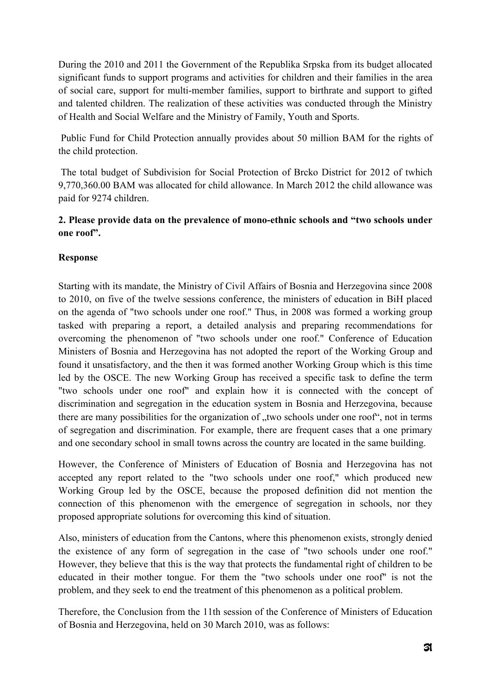During the 2010 and 2011 the Government of the Republika Srpska from its budget allocated significant funds to support programs and activities for children and their families in the area of social care, support for multi-member families, support to birthrate and support to gifted and talented children. The realization of these activities was conducted through the Ministry of Health and Social Welfare and the Ministry of Family, Youth and Sports.

 Public Fund for Child Protection annually provides about 50 million BAM for the rights of the child protection.

 The total budget of Subdivision for Social Protection of Brcko District for 2012 of twhich 9,770,360.00 BAM was allocated for child allowance. In March 2012 the child allowance was paid for 9274 children.

# **2. Please provide data on the prevalence of mono-ethnic schools and "two schools under one roof".**

# **Response**

Starting with its mandate, the Ministry of Civil Affairs of Bosnia and Herzegovina since 2008 to 2010, on five of the twelve sessions conference, the ministers of education in BiH placed on the agenda of "two schools under one roof." Thus, in 2008 was formed a working group tasked with preparing a report, a detailed analysis and preparing recommendations for overcoming the phenomenon of "two schools under one roof." Conference of Education Ministers of Bosnia and Herzegovina has not adopted the report of the Working Group and found it unsatisfactory, and the then it was formed another Working Group which is this time led by the OSCE. The new Working Group has received a specific task to define the term "two schools under one roof" and explain how it is connected with the concept of discrimination and segregation in the education system in Bosnia and Herzegovina, because there are many possibilities for the organization of "two schools under one roof", not in terms of segregation and discrimination. For example, there are frequent cases that a one primary and one secondary school in small towns across the country are located in the same building.

However, the Conference of Ministers of Education of Bosnia and Herzegovina has not accepted any report related to the "two schools under one roof," which produced new Working Group led by the OSCE, because the proposed definition did not mention the connection of this phenomenon with the emergence of segregation in schools, nor they proposed appropriate solutions for overcoming this kind of situation.

Also, ministers of education from the Cantons, where this phenomenon exists, strongly denied the existence of any form of segregation in the case of "two schools under one roof." However, they believe that this is the way that protects the fundamental right of children to be educated in their mother tongue. For them the "two schools under one roof" is not the problem, and they seek to end the treatment of this phenomenon as a political problem.

Therefore, the Conclusion from the 11th session of the Conference of Ministers of Education of Bosnia and Herzegovina, held on 30 March 2010, was as follows: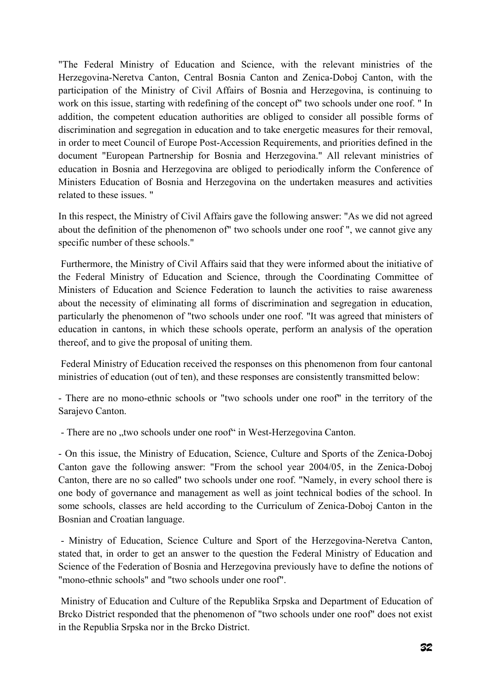"The Federal Ministry of Education and Science, with the relevant ministries of the Herzegovina-Neretva Canton, Central Bosnia Canton and Zenica-Doboj Canton, with the participation of the Ministry of Civil Affairs of Bosnia and Herzegovina, is continuing to work on this issue, starting with redefining of the concept of" two schools under one roof. " In addition, the competent education authorities are obliged to consider all possible forms of discrimination and segregation in education and to take energetic measures for their removal, in order to meet Council of Europe Post-Accession Requirements, and priorities defined in the document "European Partnership for Bosnia and Herzegovina." All relevant ministries of education in Bosnia and Herzegovina are obliged to periodically inform the Conference of Ministers Education of Bosnia and Herzegovina on the undertaken measures and activities related to these issues. "

In this respect, the Ministry of Civil Affairs gave the following answer: "As we did not agreed about the definition of the phenomenon of" two schools under one roof ", we cannot give any specific number of these schools."

 Furthermore, the Ministry of Civil Affairs said that they were informed about the initiative of the Federal Ministry of Education and Science, through the Coordinating Committee of Ministers of Education and Science Federation to launch the activities to raise awareness about the necessity of eliminating all forms of discrimination and segregation in education, particularly the phenomenon of "two schools under one roof. "It was agreed that ministers of education in cantons, in which these schools operate, perform an analysis of the operation thereof, and to give the proposal of uniting them.

 Federal Ministry of Education received the responses on this phenomenon from four cantonal ministries of education (out of ten), and these responses are consistently transmitted below:

- There are no mono-ethnic schools or "two schools under one roof" in the territory of the Sarajevo Canton.

- There are no "two schools under one roof" in West-Herzegovina Canton.

- On this issue, the Ministry of Education, Science, Culture and Sports of the Zenica-Doboj Canton gave the following answer: "From the school year 2004/05, in the Zenica-Doboj Canton, there are no so called" two schools under one roof. "Namely, in every school there is one body of governance and management as well as joint technical bodies of the school. In some schools, classes are held according to the Curriculum of Zenica-Doboj Canton in the Bosnian and Croatian language.

 - Ministry of Education, Science Culture and Sport of the Herzegovina-Neretva Canton, stated that, in order to get an answer to the question the Federal Ministry of Education and Science of the Federation of Bosnia and Herzegovina previously have to define the notions of "mono-ethnic schools" and "two schools under one roof".

 Ministry of Education and Culture of the Republika Srpska and Department of Education of Brcko District responded that the phenomenon of "two schools under one roof" does not exist in the Republia Srpska nor in the Brcko District.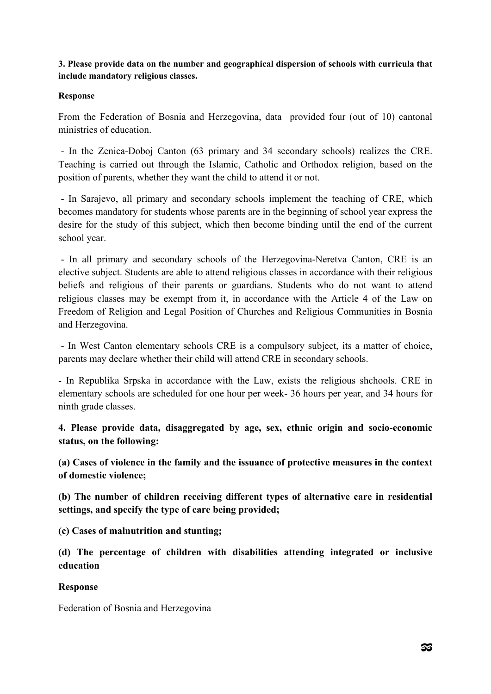**3. Please provide data on the number and geographical dispersion of schools with curricula that include mandatory religious classes.** 

### **Response**

From the Federation of Bosnia and Herzegovina, data provided four (out of 10) cantonal ministries of education.

 - In the Zenica-Doboj Canton (63 primary and 34 secondary schools) realizes the CRE. Teaching is carried out through the Islamic, Catholic and Orthodox religion, based on the position of parents, whether they want the child to attend it or not.

 - In Sarajevo, all primary and secondary schools implement the teaching of CRE, which becomes mandatory for students whose parents are in the beginning of school year express the desire for the study of this subject, which then become binding until the end of the current school year.

 - In all primary and secondary schools of the Herzegovina-Neretva Canton, CRE is an elective subject. Students are able to attend religious classes in accordance with their religious beliefs and religious of their parents or guardians. Students who do not want to attend religious classes may be exempt from it, in accordance with the Article 4 of the Law on Freedom of Religion and Legal Position of Churches and Religious Communities in Bosnia and Herzegovina.

 - In West Canton elementary schools CRE is a compulsory subject, its a matter of choice, parents may declare whether their child will attend CRE in secondary schools.

- In Republika Srpska in accordance with the Law, exists the religious shchools. CRE in elementary schools are scheduled for one hour per week- 36 hours per year, and 34 hours for ninth grade classes.

**4. Please provide data, disaggregated by age, sex, ethnic origin and socio-economic status, on the following:** 

**(a) Cases of violence in the family and the issuance of protective measures in the context of domestic violence;** 

**(b) The number of children receiving different types of alternative care in residential settings, and specify the type of care being provided;** 

**(c) Cases of malnutrition and stunting;** 

**(d) The percentage of children with disabilities attending integrated or inclusive education** 

### **Response**

Federation of Bosnia and Herzegovina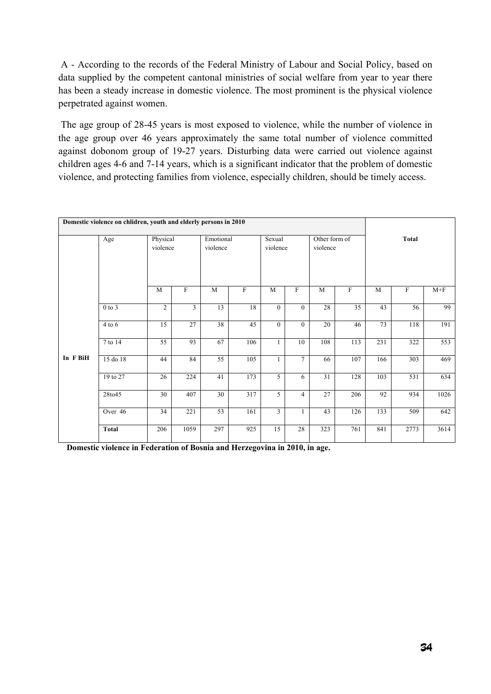A - According to the records of the Federal Ministry of Labour and Social Policy, based on data supplied by the competent cantonal ministries of social welfare from year to year there has been a steady increase in domestic violence. The most prominent is the physical violence perpetrated against women.

 The age group of 28-45 years is most exposed to violence, while the number of violence in the age group over 46 years approximately the same total number of violence committed against dobonom group of 19-27 years. Disturbing data were carried out violence against children ages 4-6 and 7-14 years, which is a significant indicator that the problem of domestic violence, and protecting families from violence, especially children, should be timely access.

|          | Domestic violence on chlidren, youth and elderly persons in 2010 |                      |                           |                       |     |                    |                |                           |                           |              |                           |       |
|----------|------------------------------------------------------------------|----------------------|---------------------------|-----------------------|-----|--------------------|----------------|---------------------------|---------------------------|--------------|---------------------------|-------|
|          | Age                                                              | Physical<br>violence |                           | Emotional<br>violence |     | Sexual<br>violence |                | Other form of<br>violence |                           | <b>Total</b> |                           |       |
|          |                                                                  | M                    | $\boldsymbol{\mathrm{F}}$ | M                     | F   | M                  | F              | M                         | $\boldsymbol{\mathrm{F}}$ | M            | $\boldsymbol{\mathrm{F}}$ | $M+F$ |
|          | $0$ to $3$                                                       | $\overline{2}$       | $\overline{3}$            | $\overline{13}$       | 18  | $\mathbf{0}$       | $\overline{0}$ | 28                        | 35                        | 43           | 56                        | 99    |
|          | $4$ to $6$                                                       | 15                   | 27                        | 38                    | 45  | $\mathbf{0}$       | $\overline{0}$ | 20                        | 46                        | 73           | 118                       | 191   |
|          | 7 to 14                                                          | 55                   | 93                        | 67                    | 106 | 1                  | 10             | 108                       | 113                       | 231          | 322                       | 553   |
| In F BiH | 15 do 18                                                         | 44                   | 84                        | $\overline{55}$       | 105 | 1                  | $\overline{7}$ | 66                        | 107                       | 166          | 303                       | 469   |
|          | 19 to 27                                                         | 26                   | 224                       | 41                    | 173 | 5                  | 6              | 31                        | 128                       | 103          | 531                       | 634   |
|          | 28to45                                                           | 30                   | 407                       | 30                    | 317 | 5                  | $\overline{4}$ | 27                        | 206                       | 92           | 934                       | 1026  |
|          | Over 46                                                          | 34                   | 221                       | 53                    | 161 | 3                  | 1              | 43                        | 126                       | 133          | 509                       | 642   |
|          | <b>Total</b>                                                     | 206                  | 1059                      | 297                   | 925 | 15                 | 28             | 323                       | 761                       | 841          | 2773                      | 3614  |

 **Domestic violence in Federation of Bosnia and Herzegovina in 2010, in age.**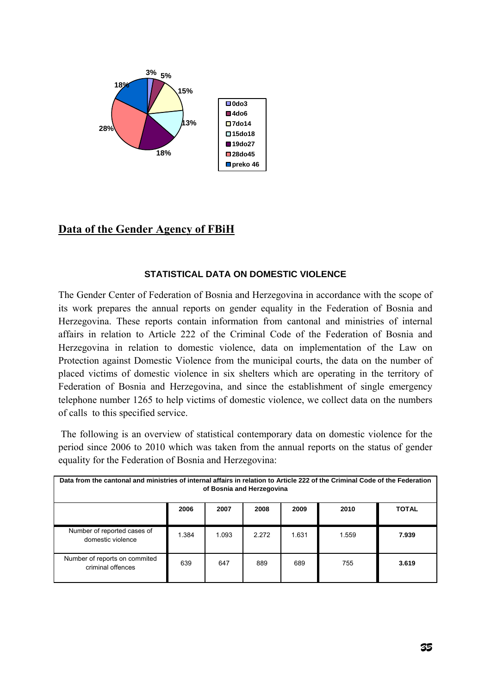

# **Data of the Gender Agency of FBiH**

### **STATISTICAL DATA ON DOMESTIC VIOLENCE**

The Gender Center of Federation of Bosnia and Herzegovina in accordance with the scope of its work prepares the annual reports on gender equality in the Federation of Bosnia and Herzegovina. These reports contain information from cantonal and ministries of internal affairs in relation to Article 222 of the Criminal Code of the Federation of Bosnia and Herzegovina in relation to domestic violence, data on implementation of the Law on Protection against Domestic Violence from the municipal courts, the data on the number of placed victims of domestic violence in six shelters which are operating in the territory of Federation of Bosnia and Herzegovina, and since the establishment of single emergency telephone number 1265 to help victims of domestic violence, we collect data on the numbers of calls to this specified service.

 The following is an overview of statistical contemporary data on domestic violence for the period since 2006 to 2010 which was taken from the annual reports on the status of gender equality for the Federation of Bosnia and Herzegovina:

| Data from the cantonal and ministries of internal affairs in relation to Article 222 of the Criminal Code of the Federation<br>of Bosnia and Herzegovina |       |       |       |       |       |              |  |  |  |  |  |
|----------------------------------------------------------------------------------------------------------------------------------------------------------|-------|-------|-------|-------|-------|--------------|--|--|--|--|--|
|                                                                                                                                                          | 2006  | 2007  | 2008  | 2009  | 2010  | <b>TOTAL</b> |  |  |  |  |  |
| Number of reported cases of<br>domestic violence                                                                                                         | 1.384 | 1.093 | 2.272 | 1.631 | 1.559 | 7.939        |  |  |  |  |  |
| Number of reports on commited<br>criminal offences                                                                                                       | 639   | 647   | 889   | 689   | 755   | 3.619        |  |  |  |  |  |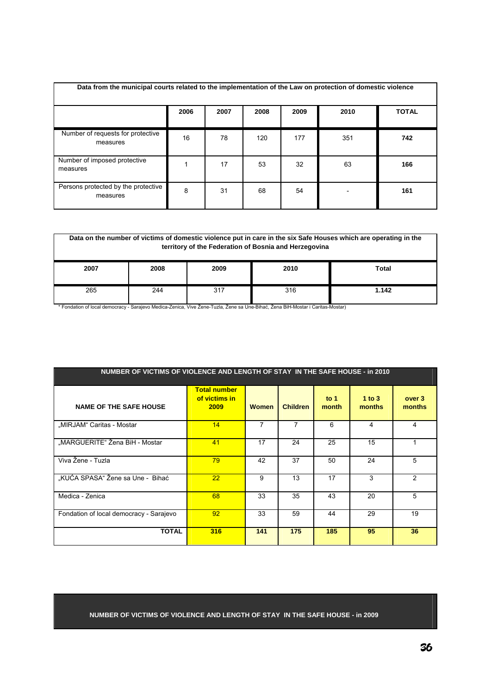| Data from the municipal courts related to the implementation of the Law on protection of domestic violence |      |      |      |      |      |              |  |  |  |  |  |
|------------------------------------------------------------------------------------------------------------|------|------|------|------|------|--------------|--|--|--|--|--|
|                                                                                                            | 2006 | 2007 | 2008 | 2009 | 2010 | <b>TOTAL</b> |  |  |  |  |  |
| Number of requests for protective<br>measures                                                              | 16   | 78   | 120  | 177  | 351  | 742          |  |  |  |  |  |
| Number of imposed protective<br>measures                                                                   |      | 17   | 53   | 32   | 63   | 166          |  |  |  |  |  |
| Persons protected by the protective<br>measures                                                            | 8    | 31   | 68   | 54   |      | 161          |  |  |  |  |  |

|      | Data on the number of victims of domestic violence put in care in the six Safe Houses which are operating in the<br>territory of the Federation of Bosnia and Herzegovina |                       |     |       |  |  |  |  |  |  |  |
|------|---------------------------------------------------------------------------------------------------------------------------------------------------------------------------|-----------------------|-----|-------|--|--|--|--|--|--|--|
| 2007 | 2008                                                                                                                                                                      | Total<br>2009<br>2010 |     |       |  |  |  |  |  |  |  |
| 265  | 244                                                                                                                                                                       | 317                   | 316 | 1.142 |  |  |  |  |  |  |  |

\* Fondation of local democracy - Sarajevo Medica-Zenica, Vive Žene-Tuzla, Žene sa Une-Bihać, Žena BiH-Mostar i Caritas-Mostar)

| NUMBER OF VICTIMS OF VIOLENCE AND LENGTH OF STAY IN THE SAFE HOUSE - in 2010 |                                              |              |                 |                 |                      |                  |
|------------------------------------------------------------------------------|----------------------------------------------|--------------|-----------------|-----------------|----------------------|------------------|
| <b>NAME OF THE SAFE HOUSE</b>                                                | <b>Total number</b><br>of victims in<br>2009 | <b>Women</b> | <b>Children</b> | to $1$<br>month | $1$ to $3$<br>months | over 3<br>months |
| "MIRJAM" Caritas - Mostar                                                    | 14                                           | 7            | 7               | 6               | 4                    | 4                |
| "MARGUERITE" Žena BiH - Mostar                                               | 41                                           | 17           | 24              | 25              | 15                   |                  |
| Viva Žene - Tuzla                                                            | 79                                           | 42           | 37              | 50              | 24                   | 5                |
| "KUĆA SPASA" Žene sa Une - Bihać                                             | 22                                           | 9            | 13              | 17              | 3                    | $\overline{2}$   |
| Medica - Zenica                                                              | 68                                           | 33           | 35              | 43              | 20                   | 5                |
| Fondation of local democracy - Sarajevo                                      | 92                                           | 33           | 59              | 44              | 29                   | 19               |
| <b>TOTAL</b>                                                                 | 316                                          | 141          | 175             | 185             | 95                   | 36               |

#### **NUMBER OF VICTIMS OF VIOLENCE AND LENGTH OF STAY IN THE SAFE HOUSE - in 2009**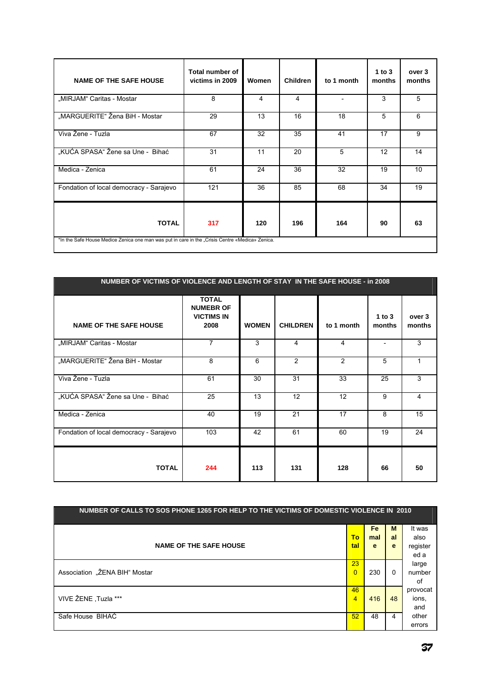| <b>NAME OF THE SAFE HOUSE</b>                                                                   | <b>Total number of</b><br>victims in 2009 | Women | <b>Children</b> | to 1 month | 1 to 3<br>months | over 3<br>months |
|-------------------------------------------------------------------------------------------------|-------------------------------------------|-------|-----------------|------------|------------------|------------------|
| "MIRJAM" Caritas - Mostar                                                                       | 8                                         | 4     | 4               |            | 3                | 5                |
| "MARGUERITE" Žena BiH - Mostar                                                                  | 29                                        | 13    | 16              | 18         | 5                | 6                |
| Viva Žene - Tuzla                                                                               | 67                                        | 32    | 35              | 41         | 17               | 9                |
| "KUĆA SPASA" Žene sa Une - Bihać                                                                | 31                                        | 11    | 20              | 5          | 12               | 14               |
| Medica - Zenica                                                                                 | 61                                        | 24    | 36              | 32         | 19               | 10               |
| Fondation of local democracy - Sarajevo                                                         | 121                                       | 36    | 85              | 68         | 34               | 19               |
| <b>TOTAL</b>                                                                                    | 317                                       | 120   | 196             | 164        | 90               | 63               |
| *In the Safe House Medice Zenica one man was put in care in the "Crisis Centre «Medica» Zenica. |                                           |       |                 |            |                  |                  |

| NUMBER OF VICTIMS OF VIOLENCE AND LENGTH OF STAY IN THE SAFE HOUSE - in 2008 |                                                               |              |                 |            |                  |                  |
|------------------------------------------------------------------------------|---------------------------------------------------------------|--------------|-----------------|------------|------------------|------------------|
| <b>NAME OF THE SAFE HOUSE</b>                                                | <b>TOTAL</b><br><b>NUMEBR OF</b><br><b>VICTIMS IN</b><br>2008 | <b>WOMEN</b> | <b>CHILDREN</b> | to 1 month | 1 to 3<br>months | over 3<br>months |
| "MIRJAM" Caritas - Mostar                                                    | $\overline{7}$                                                | 3            | 4               | 4          |                  | 3                |
| "MARGUERITE" Žena BiH - Mostar                                               | 8                                                             | 6            | 2               | 2          | 5                |                  |
| Viva Žene - Tuzla                                                            | 61                                                            | 30           | 31              | 33         | 25               | 3                |
| "KUĆA SPASA" Žene sa Une - Bihać                                             | 25                                                            | 13           | 12 <sup>2</sup> | 12         | 9                | 4                |
| Medica - Zenica                                                              | 40                                                            | 19           | 21              | 17         | 8                | 15               |
| Fondation of local democracy - Sarajevo                                      | 103                                                           | 42           | 61              | 60         | 19               | 24               |
| <b>TOTAL</b>                                                                 | 244                                                           | 113          | 131             | 128        | 66               | 50               |

| NUMBER OF CALLS TO SOS PHONE 1265 FOR HELP TO THE VICTIMS OF DOMESTIC VIOLENCE IN 2010 |                |           |          |          |  |  |  |  |  |  |
|----------------------------------------------------------------------------------------|----------------|-----------|----------|----------|--|--|--|--|--|--|
|                                                                                        |                |           |          |          |  |  |  |  |  |  |
|                                                                                        |                | <b>Fe</b> | M        | It was   |  |  |  |  |  |  |
|                                                                                        | To             | mal       | al       | also     |  |  |  |  |  |  |
| <b>NAME OF THE SAFE HOUSE</b>                                                          | tal            | e         | e        |          |  |  |  |  |  |  |
|                                                                                        |                |           |          | register |  |  |  |  |  |  |
|                                                                                        |                |           |          | ed a     |  |  |  |  |  |  |
|                                                                                        | 23             |           |          | large    |  |  |  |  |  |  |
| Association "ŽENA BIH" Mostar                                                          | $\overline{0}$ | 230       | $\Omega$ | number   |  |  |  |  |  |  |
|                                                                                        |                |           |          | of       |  |  |  |  |  |  |
|                                                                                        | 46             |           |          | provocat |  |  |  |  |  |  |
| VIVE ŽENE, Tuzla ***                                                                   | $\overline{4}$ | 416       | 48       | ions,    |  |  |  |  |  |  |
|                                                                                        |                |           |          |          |  |  |  |  |  |  |
|                                                                                        |                |           |          | and      |  |  |  |  |  |  |
| Safe House BIHAC                                                                       | 52             | 48        | 4        | other    |  |  |  |  |  |  |
|                                                                                        |                |           |          | errors   |  |  |  |  |  |  |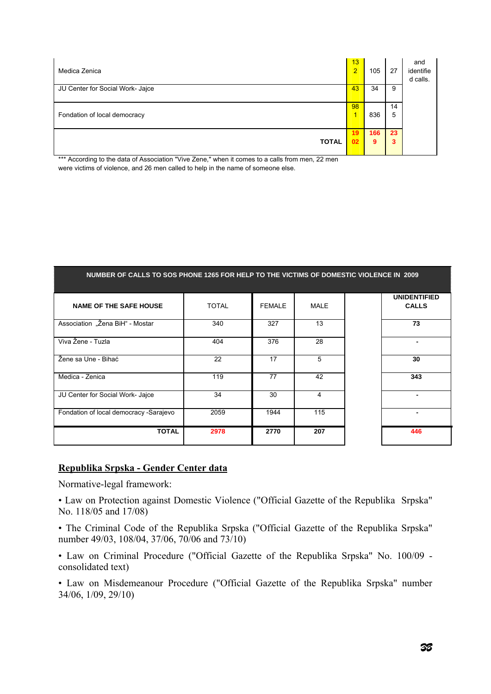| Medica Zenica                    | 13<br>$\overline{2}$ | 105      | 27      | and<br>identifie<br>d calls. |
|----------------------------------|----------------------|----------|---------|------------------------------|
| JU Center for Social Work- Jajce | 43                   | 34       | 9       |                              |
| Fondation of local democracy     | 98<br>∢              | 836      | 14<br>5 |                              |
| <b>TOTAL</b>                     | 19<br>02             | 166<br>9 | 23<br>3 |                              |

\*\*\* According to the data of Association "Vive Zene," when it comes to a calls from men, 22 men were victims of violence, and 26 men called to help in the name of someone else.

| NUMBER OF CALLS TO SOS PHONE 1265 FOR HELP TO THE VICTIMS OF DOMESTIC VIOLENCE IN 2009 |              |               |             |                                     |
|----------------------------------------------------------------------------------------|--------------|---------------|-------------|-------------------------------------|
| <b>NAME OF THE SAFE HOUSE</b>                                                          | <b>TOTAL</b> | <b>FEMALE</b> | <b>MALE</b> | <b>UNIDENTIFIED</b><br><b>CALLS</b> |
| Association "Žena BiH" - Mostar                                                        | 340          | 327           | 13          | 73                                  |
| Viva Žene - Tuzla                                                                      | 404          | 376           | 28          | $\blacksquare$                      |
| Žene sa Une - Bihać                                                                    | 22           | 17            | 5           | 30                                  |
| Medica - Zenica                                                                        | 119          | 77            | 42          | 343                                 |
| JU Center for Social Work- Jajce                                                       | 34           | 30            | 4           |                                     |
| Fondation of local democracy -Sarajevo                                                 | 2059         | 1944          | 115         |                                     |
| <b>TOTAL</b>                                                                           | 2978         | 2770          | 207         | 446                                 |

### **Republika Srpska - Gender Center data**

Normative-legal framework:

• Law on Protection against Domestic Violence ("Official Gazette of the Republika Srpska" No. 118/05 and 17/08)

• The Criminal Code of the Republika Srpska ("Official Gazette of the Republika Srpska" number 49/03, 108/04, 37/06, 70/06 and 73/10)

• Law on Criminal Procedure ("Official Gazette of the Republika Srpska" No. 100/09 consolidated text)

• Law on Misdemeanour Procedure ("Official Gazette of the Republika Srpska" number 34/06, 1/09, 29/10)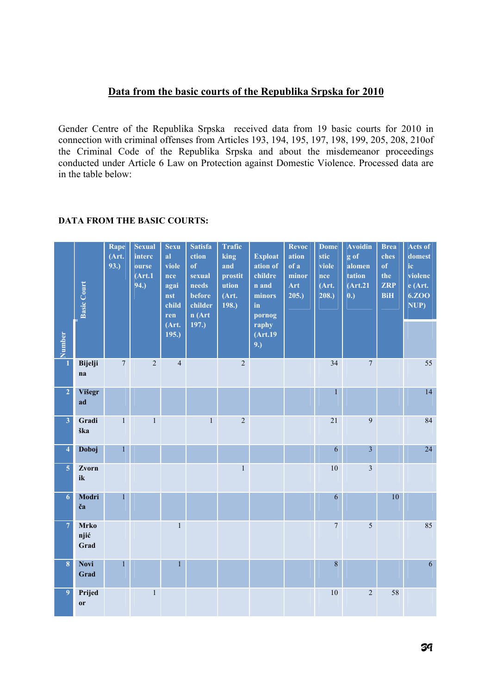# **Data from the basic courts of the Republika Srpska for 2010**

Gender Centre of the Republika Srpska received data from 19 basic courts for 2010 in connection with criminal offenses from Articles 193, 194, 195, 197, 198, 199, 205, 208, 210of the Criminal Code of the Republika Srpska and about the misdemeanor proceedings conducted under Article 6 Law on Protection against Domestic Violence. Processed data are in the table below:

#### **Proper Basic Court Rape (Art. 93.) Sexual interc ourse (Art.1 94.) Sexu al viole nce agai nst child ren (Art. 195.) Satisfa ction of sexual needs before childer n (Art 197.) Trafic king and prostit ution (Art. 198.) Exploat ation of childre n and minors in pornog raphy (Art.19 9.) Revoc ation of a minor Art 205.) Dome stic viole nce (Art. 208.) Avoidin g of alomen tation (Art.21 0.) Brea ches of the ZRP BiH Acts of domest ic violenc e (Art. 6.ZOO NUP) 1 Bijelji na**   $7 \quad 2 \quad 4 \quad 2 \quad 1 \quad 34 \quad 7 \quad 1 \quad 55$ **2 Višegr ad**  1 14 **3 Gradi ška**  1 1 2 21 9 84 **4 Doboj** 1 **1 6 3 24 5 Zvorn ik**  1 10 3 **6 Modri ča**  1 6 10 10 **7 Mrko njić Grad**  1 7 5 85 **8 Novi Grad**   $1$  and  $1$  and  $1$  and  $1$  and  $1$  and  $1$  and  $1$  and  $1$  and  $1$  and  $1$  and  $1$  and  $1$  and  $1$  and  $1$  and  $1$  and  $1$  and  $1$  and  $1$  and  $1$  and  $1$  and  $1$  and  $1$  and  $1$  and  $1$  and  $1$  and  $1$  and  $1$  and  $1$  a **9 Prijed or**   $1 \t 1$  10 2 58

### **DATA FROM THE BASIC COURTS:**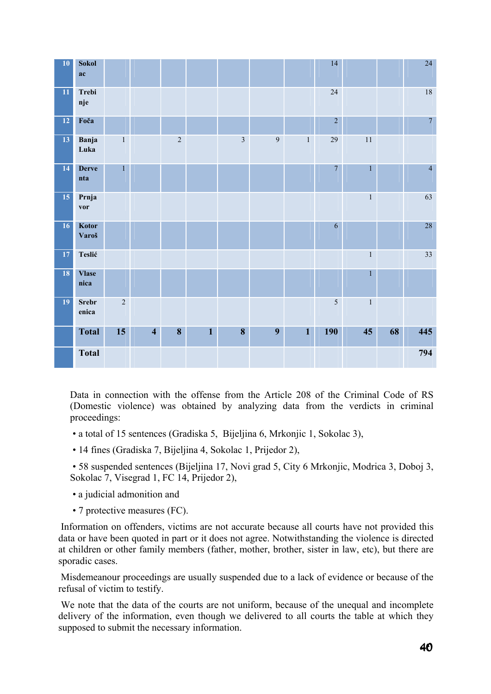

Data in connection with the offense from the Article 208 of the Criminal Code of RS (Domestic violence) was obtained by analyzing data from the verdicts in criminal proceedings:

- a total of 15 sentences (Gradiska 5, Bijeljina 6, Mrkonjic 1, Sokolac 3),
- 14 fines (Gradiska 7, Bijeljina 4, Sokolac 1, Prijedor 2),

 • 58 suspended sentences (Bijeljina 17, Novi grad 5, City 6 Mrkonjic, Modrica 3, Doboj 3, Sokolac 7, Visegrad 1, FC 14, Prijedor 2),

- a judicial admonition and
- 7 protective measures (FC).

 Information on offenders, victims are not accurate because all courts have not provided this data or have been quoted in part or it does not agree. Notwithstanding the violence is directed at children or other family members (father, mother, brother, sister in law, etc), but there are sporadic cases.

 Misdemeanour proceedings are usually suspended due to a lack of evidence or because of the refusal of victim to testify.

 We note that the data of the courts are not uniform, because of the unequal and incomplete delivery of the information, even though we delivered to all courts the table at which they supposed to submit the necessary information.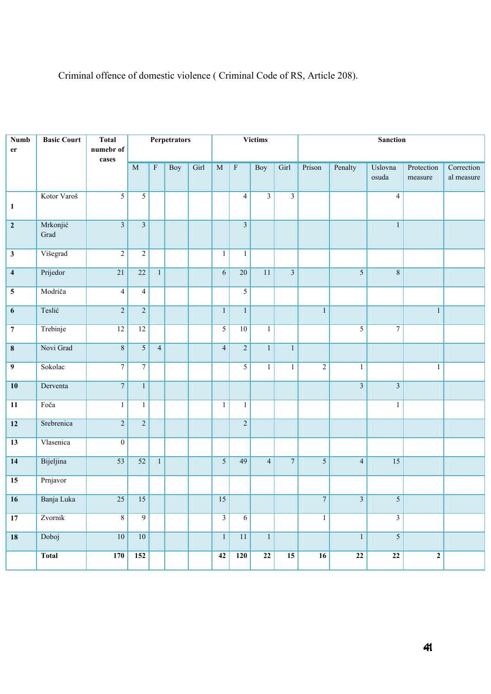| <b>Numb</b>             | <b>Basic Court</b> | <b>Total</b>            |                         |                           | <b>Perpetrators</b> |      |                |                         | <b>Victims</b> |                         | <b>Sanction</b>  |                         |                         |                       |                          |
|-------------------------|--------------------|-------------------------|-------------------------|---------------------------|---------------------|------|----------------|-------------------------|----------------|-------------------------|------------------|-------------------------|-------------------------|-----------------------|--------------------------|
| er                      |                    | numebr of               |                         |                           |                     |      |                |                         |                |                         |                  |                         |                         |                       |                          |
|                         |                    | cases                   | $\mathbf M$             | $\boldsymbol{\mathrm{F}}$ | <b>Boy</b>          | Girl | $\mathbf M$    | $\overline{\mathrm{F}}$ | <b>Boy</b>     | Girl                    | Prison           | Penalty                 | Uslovna<br>osuda        | Protection<br>measure | Correction<br>al measure |
| $\mathbf{1}$            | Kotor Varoš        | $\overline{5}$          | $\overline{5}$          |                           |                     |      |                | $\overline{4}$          | $\overline{3}$ | $\overline{3}$          |                  |                         | $\overline{4}$          |                       |                          |
| $\mathbf{2}$            | Mrkonjić<br>Grad   | $\overline{\mathbf{3}}$ | $\overline{\mathbf{3}}$ |                           |                     |      |                | $\overline{\mathbf{3}}$ |                |                         |                  |                         | $\,1$                   |                       |                          |
| $\mathbf{3}$            | Višegrad           | $\sqrt{2}$              | $\boldsymbol{2}$        |                           |                     |      | $\mathbf{1}$   | $\mathbf{1}$            |                |                         |                  |                         |                         |                       |                          |
| $\overline{\mathbf{4}}$ | Prijedor           | $\overline{21}$         | $\overline{22}$         | $\mathbf{1}$              |                     |      | $\sqrt{6}$     | $\overline{20}$         | 11             | $\overline{\mathbf{3}}$ |                  | $\sqrt{5}$              | $8\,$                   |                       |                          |
| ${\bf 5}$               | Modriča            | $\overline{\mathbf{4}}$ | $\overline{4}$          |                           |                     |      |                | $\overline{5}$          |                |                         |                  |                         |                         |                       |                          |
| $\boldsymbol{6}$        | Teslić             | $\overline{2}$          | $\overline{2}$          |                           |                     |      | $\overline{1}$ | $\,1\,$                 |                |                         | $\,1$            |                         |                         | $\,1\,$               |                          |
| $\boldsymbol{7}$        | Trebinje           | 12                      | 12                      |                           |                     |      | $\overline{5}$ | 10                      | $\,1$          |                         |                  | $\overline{5}$          | $\overline{7}$          |                       |                          |
| $\bf 8$                 | Novi Grad          | $\,8\,$                 | $\mathfrak{S}$          | $\overline{4}$            |                     |      | $\overline{4}$ | $\overline{2}$          | $\mathbf{1}$   | $\,1\,$                 |                  |                         |                         |                       |                          |
| $\boldsymbol{9}$        | Sokolac            | $\overline{7}$          | $\boldsymbol{7}$        |                           |                     |      |                | $\sqrt{5}$              | $\mathbf{1}$   | $\mathbf{1}$            | $\overline{2}$   | $\,1$                   |                         | $\,1$                 |                          |
| 10                      | Derventa           | $\overline{7}$          | $\mathbf{1}$            |                           |                     |      |                |                         |                |                         |                  | $\overline{\mathbf{3}}$ | $\overline{\mathbf{3}}$ |                       |                          |
| $\overline{11}$         | Foča               | $\,1$                   | $\mathbf{1}$            |                           |                     |      | $\mathbf{1}$   | $\mathbf{1}$            |                |                         |                  |                         | $\mathbf{1}$            |                       |                          |
| $\overline{12}$         | Srebrenica         | $\overline{2}$          | $\overline{2}$          |                           |                     |      |                | $\overline{2}$          |                |                         |                  |                         |                         |                       |                          |
| $\overline{13}$         | Vlasenica          | $\boldsymbol{0}$        |                         |                           |                     |      |                |                         |                |                         |                  |                         |                         |                       |                          |
| 14                      | Bijeljina          | $\overline{53}$         | $\overline{52}$         | $\mathbf{1}$              |                     |      | $\overline{5}$ | 49                      | $\overline{4}$ | $\boldsymbol{7}$        | $\mathfrak{S}$   | $\overline{4}$          | $\overline{15}$         |                       |                          |
| $\overline{15}$         | Prnjavor           |                         |                         |                           |                     |      |                |                         |                |                         |                  |                         |                         |                       |                          |
| 16                      | Banja Luka         | $\overline{25}$         | 15                      |                           |                     |      | 15             |                         |                |                         | $\boldsymbol{7}$ | $\mathfrak{Z}$          | $\sqrt{5}$              |                       |                          |
| $\overline{17}$         | Zvornik            | $\overline{8}$          | 9                       |                           |                     |      | $\overline{3}$ | 6                       |                |                         | $\mathbf{1}$     |                         | $\overline{3}$          |                       |                          |
| 18                      | Doboj              | 10                      | 10                      |                           |                     |      | $\mathbf{1}$   | $11\,$                  | $\mathbf{1}$   |                         |                  | $\mathbf{1}$            | $\overline{5}$          |                       |                          |
|                         | <b>Total</b>       | <b>170</b>              | 152                     |                           |                     |      | 42             | 120                     | 22             | 15                      | 16               | $\bf{22}$               | 22                      | $\mathbf{2}$          |                          |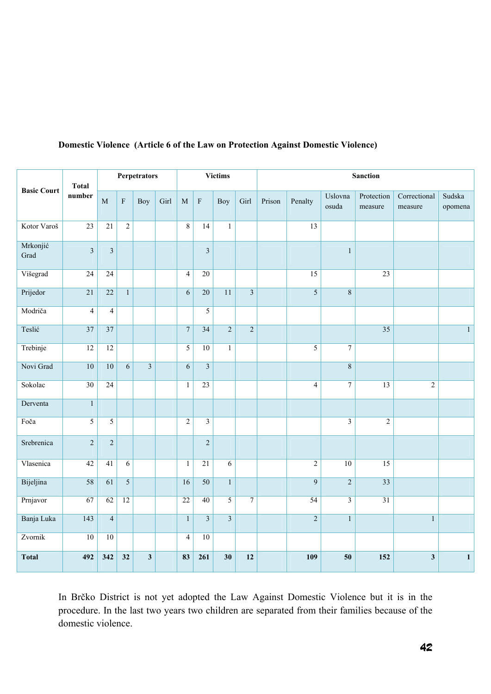| <b>Basic Court</b> | <b>Total</b><br>number | Perpetrators    |                           |                         |      | <b>Victims</b>  |                         |                 | <b>Sanction</b>         |        |                 |                         |                       |                         |                   |
|--------------------|------------------------|-----------------|---------------------------|-------------------------|------|-----------------|-------------------------|-----------------|-------------------------|--------|-----------------|-------------------------|-----------------------|-------------------------|-------------------|
|                    |                        | M               | $\boldsymbol{\mathrm{F}}$ | Boy                     | Girl | M               | ${\bf F}$               | Boy             | Girl                    | Prison | Penalty         | Uslovna<br>osuda        | Protection<br>measure | Correctional<br>measure | Sudska<br>opomena |
| Kotor Varoš        | 23                     | 21              | $\overline{2}$            |                         |      | $\,8\,$         | 14                      | $\mathbf{1}$    |                         |        | 13              |                         |                       |                         |                   |
| Mrkonjić<br>Grad   | $\overline{3}$         | $\overline{3}$  |                           |                         |      |                 | $\overline{\mathbf{3}}$ |                 |                         |        |                 | $\mathbf{1}$            |                       |                         |                   |
| Višegrad           | $\overline{24}$        | 24              |                           |                         |      | $\overline{4}$  | $20\,$                  |                 |                         |        | $\overline{15}$ |                         | $\overline{23}$       |                         |                   |
| Prijedor           | $\overline{21}$        | $\overline{22}$ | $\mathbf{1}$              |                         |      | 6               | $\overline{20}$         | $\overline{11}$ | $\overline{\mathbf{3}}$ |        | $\overline{5}$  | $\,8\,$                 |                       |                         |                   |
| Modriča            | $\overline{4}$         | $\overline{4}$  |                           |                         |      |                 | $\overline{5}$          |                 |                         |        |                 |                         |                       |                         |                   |
| Teslić             | $\overline{37}$        | $\overline{37}$ |                           |                         |      | $\overline{7}$  | $\overline{34}$         | $\overline{2}$  | $\overline{2}$          |        |                 |                         | $\overline{35}$       |                         | $\overline{1}$    |
| Trebinje           | 12                     | 12              |                           |                         |      | $\overline{5}$  | 10                      | $\mathbf{1}$    |                         |        | $\overline{5}$  | $\overline{7}$          |                       |                         |                   |
| Novi Grad          | 10                     | 10              | $\overline{6}$            | $\overline{3}$          |      | $\overline{6}$  | $\overline{\mathbf{3}}$ |                 |                         |        |                 | $\overline{8}$          |                       |                         |                   |
| Sokolac            | $\overline{30}$        | 24              |                           |                         |      | $\mathbf{1}$    | $\overline{23}$         |                 |                         |        | $\overline{4}$  | $\overline{7}$          | 13                    | $\overline{2}$          |                   |
| Derventa           | $\overline{1}$         |                 |                           |                         |      |                 |                         |                 |                         |        |                 |                         |                       |                         |                   |
| Foča               | $\overline{5}$         | 5               |                           |                         |      | $\overline{2}$  | $\overline{\mathbf{3}}$ |                 |                         |        |                 | $\overline{\mathbf{3}}$ | $\sqrt{2}$            |                         |                   |
| Srebrenica         | $\overline{c}$         | $\overline{2}$  |                           |                         |      |                 | $\overline{2}$          |                 |                         |        |                 |                         |                       |                         |                   |
| Vlasenica          | 42                     | 41              | $\overline{6}$            |                         |      | $\mathbf{1}$    | $\overline{21}$         | $\overline{6}$  |                         |        | $\overline{2}$  | 10                      | $\overline{15}$       |                         |                   |
| Bijeljina          | $\overline{58}$        | 61              | $\overline{5}$            |                         |      | 16              | $\overline{50}$         | $1\,$           |                         |        | $\overline{9}$  | $\sqrt{2}$              | $\overline{33}$       |                         |                   |
| Prnjavor           | 67                     | 62              | 12                        |                         |      | $\overline{22}$ | 40                      | $\overline{5}$  | $\overline{7}$          |        | $\overline{54}$ | $\overline{\mathbf{3}}$ | $\overline{31}$       |                         |                   |
| Banja Luka         | 143                    | $\overline{4}$  |                           |                         |      | $\mathbf{1}$    | $\overline{3}$          | $\overline{3}$  |                         |        | $\overline{2}$  | $\mathbf{1}$            |                       | $\mathbf{1}$            |                   |
| Zvornik            | $\overline{10}$        | 10              |                           |                         |      | $\overline{4}$  | $\overline{10}$         |                 |                         |        |                 |                         |                       |                         |                   |
| <b>Total</b>       | 492                    | 342             | 32                        | $\overline{\mathbf{3}}$ |      | 83              | 261                     | 30              | 12                      |        | 109             | 50                      | 152                   | $\mathbf{3}$            | $\mathbf 1$       |

# **Domestic Violence (Article 6 of the Law on Protection Against Domestic Violence)**

In Brčko District is not yet adopted the Law Against Domestic Violence but it is in the procedure. In the last two years two children are separated from their families because of the domestic violence.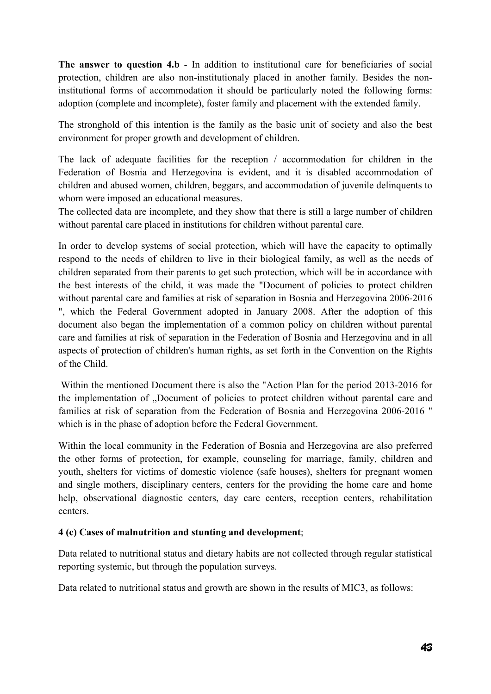The answer to question 4.b - In addition to institutional care for beneficiaries of social protection, children are also non-institutionaly placed in another family. Besides the noninstitutional forms of accommodation it should be particularly noted the following forms: adoption (complete and incomplete), foster family and placement with the extended family.

The stronghold of this intention is the family as the basic unit of society and also the best environment for proper growth and development of children.

The lack of adequate facilities for the reception / accommodation for children in the Federation of Bosnia and Herzegovina is evident, and it is disabled accommodation of children and abused women, children, beggars, and accommodation of juvenile delinquents to whom were imposed an educational measures.

The collected data are incomplete, and they show that there is still a large number of children without parental care placed in institutions for children without parental care.

In order to develop systems of social protection, which will have the capacity to optimally respond to the needs of children to live in their biological family, as well as the needs of children separated from their parents to get such protection, which will be in accordance with the best interests of the child, it was made the "Document of policies to protect children without parental care and families at risk of separation in Bosnia and Herzegovina 2006-2016 ", which the Federal Government adopted in January 2008. After the adoption of this document also began the implementation of a common policy on children without parental care and families at risk of separation in the Federation of Bosnia and Herzegovina and in all aspects of protection of children's human rights, as set forth in the Convention on the Rights of the Child.

 Within the mentioned Document there is also the "Action Plan for the period 2013-2016 for the implementation of "Document of policies to protect children without parental care and families at risk of separation from the Federation of Bosnia and Herzegovina 2006-2016 " which is in the phase of adoption before the Federal Government.

Within the local community in the Federation of Bosnia and Herzegovina are also preferred the other forms of protection, for example, counseling for marriage, family, children and youth, shelters for victims of domestic violence (safe houses), shelters for pregnant women and single mothers, disciplinary centers, centers for the providing the home care and home help, observational diagnostic centers, day care centers, reception centers, rehabilitation centers.

# **4 (c) Cases of malnutrition and stunting and development**;

Data related to nutritional status and dietary habits are not collected through regular statistical reporting systemic, but through the population surveys.

Data related to nutritional status and growth are shown in the results of MIC3, as follows: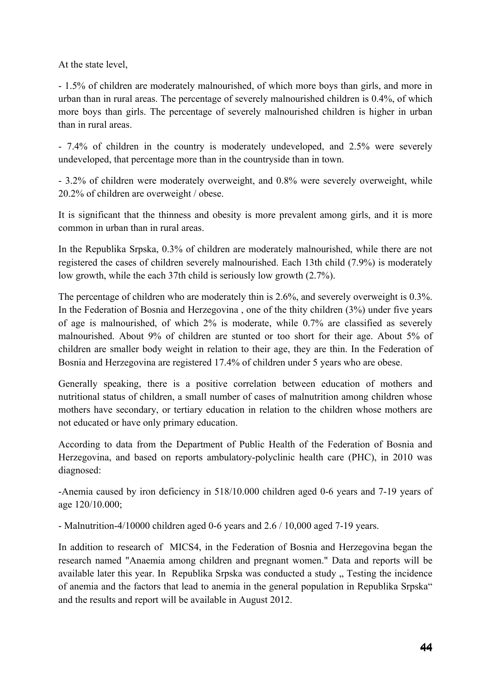At the state level,

- 1.5% of children are moderately malnourished, of which more boys than girls, and more in urban than in rural areas. The percentage of severely malnourished children is 0.4%, of which more boys than girls. The percentage of severely malnourished children is higher in urban than in rural areas.

- 7.4% of children in the country is moderately undeveloped, and 2.5% were severely undeveloped, that percentage more than in the countryside than in town.

- 3.2% of children were moderately overweight, and 0.8% were severely overweight, while 20.2% of children are overweight / obese.

It is significant that the thinness and obesity is more prevalent among girls, and it is more common in urban than in rural areas.

In the Republika Srpska, 0.3% of children are moderately malnourished, while there are not registered the cases of children severely malnourished. Each 13th child (7.9%) is moderately low growth, while the each 37th child is seriously low growth (2.7%).

The percentage of children who are moderately thin is 2.6%, and severely overweight is 0.3%. In the Federation of Bosnia and Herzegovina , one of the thity children (3%) under five years of age is malnourished, of which 2% is moderate, while 0.7% are classified as severely malnourished. About 9% of children are stunted or too short for their age. About 5% of children are smaller body weight in relation to their age, they are thin. In the Federation of Bosnia and Herzegovina are registered 17.4% of children under 5 years who are obese.

Generally speaking, there is a positive correlation between education of mothers and nutritional status of children, a small number of cases of malnutrition among children whose mothers have secondary, or tertiary education in relation to the children whose mothers are not educated or have only primary education.

According to data from the Department of Public Health of the Federation of Bosnia and Herzegovina, and based on reports ambulatory-polyclinic health care (PHC), in 2010 was diagnosed:

-Anemia caused by iron deficiency in 518/10.000 children aged 0-6 years and 7-19 years of age 120/10.000;

- Malnutrition-4/10000 children aged 0-6 years and 2.6 / 10,000 aged 7-19 years.

In addition to research of MICS4, in the Federation of Bosnia and Herzegovina began the research named "Anaemia among children and pregnant women." Data and reports will be available later this year. In Republika Srpska was conducted a study . Testing the incidence of anemia and the factors that lead to anemia in the general population in Republika Srpska" and the results and report will be available in August 2012.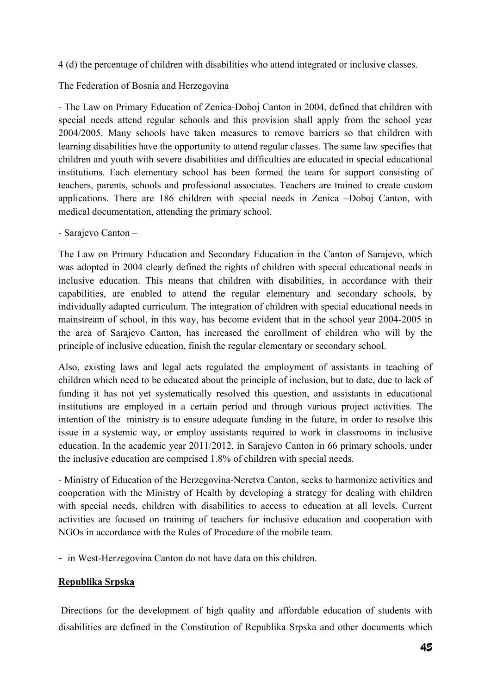4 (d) the percentage of children with disabilities who attend integrated or inclusive classes.

The Federation of Bosnia and Herzegovina

- The Law on Primary Education of Zenica-Doboj Canton in 2004, defined that children with special needs attend regular schools and this provision shall apply from the school year 2004/2005. Many schools have taken measures to remove barriers so that children with learning disabilities have the opportunity to attend regular classes. The same law specifies that children and youth with severe disabilities and difficulties are educated in special educational institutions. Each elementary school has been formed the team for support consisting of teachers, parents, schools and professional associates. Teachers are trained to create custom applications. There are 186 children with special needs in Zenica –Doboj Canton, with medical documentation, attending the primary school.

- Sarajevo Canton –

The Law on Primary Education and Secondary Education in the Canton of Sarajevo, which was adopted in 2004 clearly defined the rights of children with special educational needs in inclusive education. This means that children with disabilities, in accordance with their capabilities, are enabled to attend the regular elementary and secondary schools, by individually adapted curriculum. The integration of children with special educational needs in mainstream of school, in this way, has become evident that in the school year 2004-2005 in the area of Sarajevo Canton, has increased the enrollment of children who will by the principle of inclusive education, finish the regular elementary or secondary school.

Also, existing laws and legal acts regulated the employment of assistants in teaching of children which need to be educated about the principle of inclusion, but to date, due to lack of funding it has not yet systematically resolved this question, and assistants in educational institutions are employed in a certain period and through various project activities. The intention of the ministry is to ensure adequate funding in the future, in order to resolve this issue in a systemic way, or employ assistants required to work in classrooms in inclusive education. In the academic year 2011/2012, in Sarajevo Canton in 66 primary schools, under the inclusive education are comprised 1.8% of children with special needs.

- Ministry of Education of the Herzegovina-Neretva Canton, seeks to harmonize activities and cooperation with the Ministry of Health by developing a strategy for dealing with children with special needs, children with disabilities to access to education at all levels. Current activities are focused on training of teachers for inclusive education and cooperation with NGOs in accordance with the Rules of Procedure of the mobile team.

- in West-Herzegovina Canton do not have data on this children.

# **Republika Srpska**

 Directions for the development of high quality and affordable education of students with disabilities are defined in the Constitution of Republika Srpska and other documents which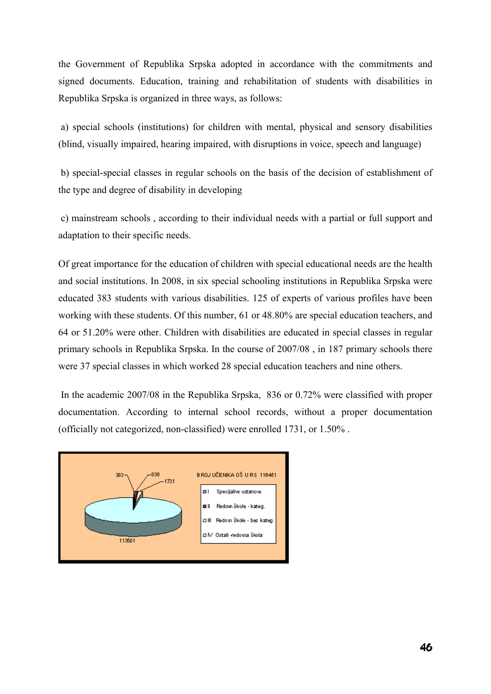the Government of Republika Srpska adopted in accordance with the commitments and signed documents. Education, training and rehabilitation of students with disabilities in Republika Srpska is organized in three ways, as follows:

 a) special schools (institutions) for children with mental, physical and sensory disabilities (blind, visually impaired, hearing impaired, with disruptions in voice, speech and language)

 b) special-special classes in regular schools on the basis of the decision of establishment of the type and degree of disability in developing

 c) mainstream schools , according to their individual needs with a partial or full support and adaptation to their specific needs.

Of great importance for the education of children with special educational needs are the health and social institutions. In 2008, in six special schooling institutions in Republika Srpska were educated 383 students with various disabilities. 125 of experts of various profiles have been working with these students. Of this number, 61 or 48.80% are special education teachers, and 64 or 51.20% were other. Children with disabilities are educated in special classes in regular primary schools in Republika Srpska. In the course of 2007/08 , in 187 primary schools there were 37 special classes in which worked 28 special education teachers and nine others.

 In the academic 2007/08 in the Republika Srpska, 836 or 0.72% were classified with proper documentation. According to internal school records, without a proper documentation (officially not categorized, non-classified) were enrolled 1731, or 1.50% .

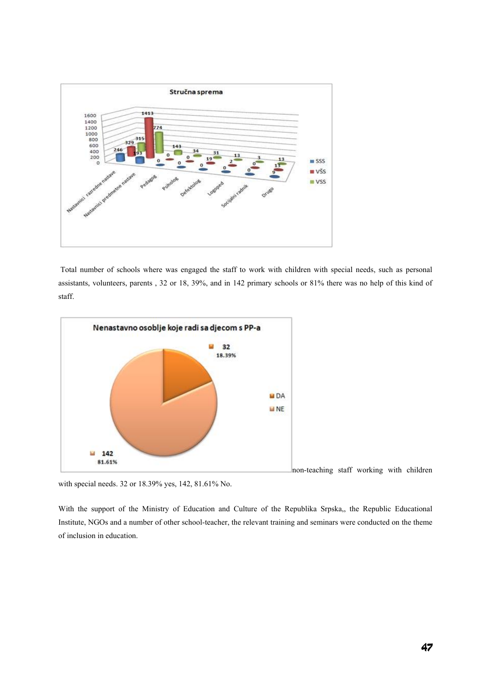

 Total number of schools where was engaged the staff to work with children with special needs, such as personal assistants, volunteers, parents , 32 or 18, 39%, and in 142 primary schools or 81% there was no help of this kind of staff.



with special needs. 32 or 18.39% yes, 142, 81.61% No.

With the support of the Ministry of Education and Culture of the Republika Srpska,, the Republic Educational Institute, NGOs and a number of other school-teacher, the relevant training and seminars were conducted on the theme of inclusion in education.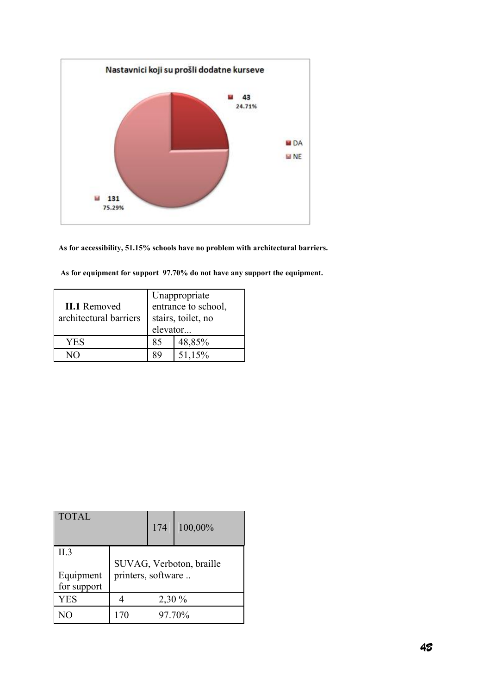

#### **As for accessibility, 51.15% schools have no problem with architectural barriers.**

|                        | Unappropriate       |        |  |  |
|------------------------|---------------------|--------|--|--|
| <b>II.1</b> Removed    | entrance to school, |        |  |  |
| architectural barriers | stairs, toilet, no  |        |  |  |
|                        | elevator            |        |  |  |
| YES                    | 85                  | 48,85% |  |  |
|                        |                     | 51,15% |  |  |

 **As for equipment for support 97.70% do not have any support the equipment.** 

| <b>TOTAL</b>             |                          | 174    | 100,00% |  |
|--------------------------|--------------------------|--------|---------|--|
| II.3                     | SUVAG, Verboton, braille |        |         |  |
| Equipment<br>for support | printers, software       |        |         |  |
| <b>YES</b>               |                          | 2,30 % |         |  |
|                          | 170                      | 97.70% |         |  |